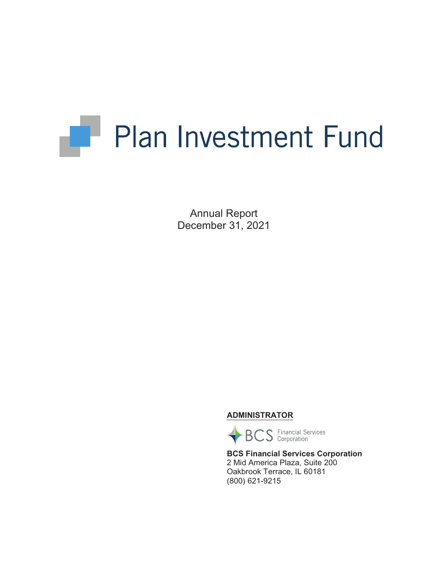# Plan Investment Fund

Annual Report December 31, 2021

**ADMINISTRATOR**

 $\mathbb{S}$  Financial Services B<sub>C</sub>

**BCS Financial Services Corporation** 2 Mid America Plaza, Suite 200 Oakbrook Terrace, IL 60181 (800) 621-9215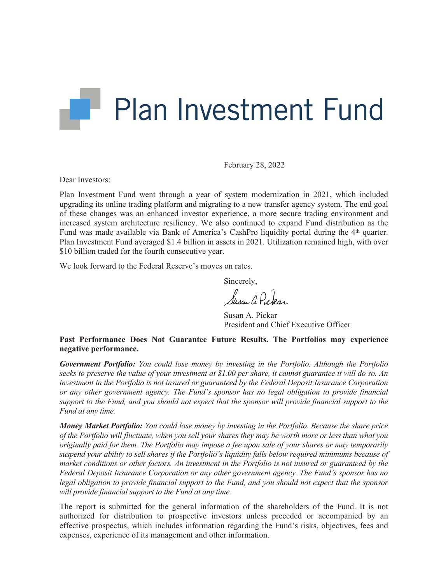# **Plan Investment Fund**

February 28, 2022

Dear Investors:

Plan Investment Fund went through a year of system modernization in 2021, which included upgrading its online trading platform and migrating to a new transfer agency system. The end goal of these changes was an enhanced investor experience, a more secure trading environment and increased system architecture resiliency. We also continued to expand Fund distribution as the Fund was made available via Bank of America's CashPro liquidity portal during the 4th quarter. Plan Investment Fund averaged \$1.4 billion in assets in 2021. Utilization remained high, with over \$10 billion traded for the fourth consecutive year.

We look forward to the Federal Reserve's moves on rates.

Sincerely,

Susan a Pickar

Susan A. Pickar President and Chief Executive Officer

#### **Past Performance Does Not Guarantee Future Results. The Portfolios may experience negative performance.**

*Government Portfolio: You could lose money by investing in the Portfolio. Although the Portfolio seeks to preserve the value of your investment at \$1.00 per share, it cannot guarantee it will do so. An investment in the Portfolio is not insured or guaranteed by the Federal Deposit Insurance Corporation or any other government agency. The Fund's sponsor has no legal obligation to provide financial support to the Fund, and you should not expect that the sponsor will provide financial support to the Fund at any time.*

*Money Market Portfolio: You could lose money by investing in the Portfolio. Because the share price of the Portfolio will fluctuate, when you sell your shares they may be worth more or less than what you originally paid for them. The Portfolio may impose a fee upon sale of your shares or may temporarily suspend your ability to sell shares if the Portfolio's liquidity falls below required minimums because of market conditions or other factors. An investment in the Portfolio is not insured or guaranteed by the Federal Deposit Insurance Corporation or any other government agency. The Fund's sponsor has no legal obligation to provide financial support to the Fund, and you should not expect that the sponsor will provide financial support to the Fund at any time.*

The report is submitted for the general information of the shareholders of the Fund. It is not authorized for distribution to prospective investors unless preceded or accompanied by an effective prospectus, which includes information regarding the Fund's risks, objectives, fees and expenses, experience of its management and other information.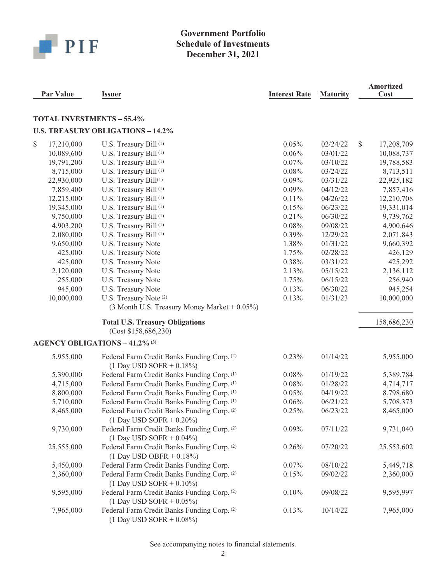

### **Government Portfolio Schedule of Investments December 31, 2021**

| <b>Par Value</b> | <b>Issuer</b>                                                                                | <b>Interest Rate</b> | <b>Maturity</b> | Amortized<br>Cost |
|------------------|----------------------------------------------------------------------------------------------|----------------------|-----------------|-------------------|
|                  | <b>TOTAL INVESTMENTS - 55.4%</b>                                                             |                      |                 |                   |
|                  | <b>U.S. TREASURY OBLIGATIONS - 14.2%</b>                                                     |                      |                 |                   |
| \$<br>17,210,000 | U.S. Treasury Bill <sup>(1)</sup>                                                            | 0.05%                | 02/24/22        | \$<br>17,208,709  |
| 10,089,600       | U.S. Treasury Bill <sup>(1)</sup>                                                            | 0.06%                | 03/01/22        | 10,088,737        |
| 19,791,200       | U.S. Treasury Bill <sup>(1)</sup>                                                            | 0.07%                | 03/10/22        | 19,788,583        |
| 8,715,000        | U.S. Treasury Bill <sup>(1)</sup>                                                            | 0.08%                | 03/24/22        | 8,713,511         |
| 22,930,000       | U.S. Treasury Bill <sup>(1)</sup>                                                            | 0.09%                | 03/31/22        | 22,925,182        |
| 7,859,400        | U.S. Treasury Bill <sup>(1)</sup>                                                            | 0.09%                | 04/12/22        | 7,857,416         |
| 12,215,000       | U.S. Treasury Bill <sup>(1)</sup>                                                            | 0.11%                | 04/26/22        | 12,210,708        |
| 19,345,000       | U.S. Treasury Bill <sup>(1)</sup>                                                            | 0.15%                | 06/23/22        | 19,331,014        |
| 9,750,000        | U.S. Treasury Bill <sup>(1)</sup>                                                            | 0.21%                | 06/30/22        | 9,739,762         |
| 4,903,200        | U.S. Treasury Bill <sup>(1)</sup>                                                            | 0.08%                | 09/08/22        | 4,900,646         |
| 2,080,000        | U.S. Treasury Bill <sup>(1)</sup>                                                            | 0.39%                | 12/29/22        | 2,071,843         |
| 9,650,000        | U.S. Treasury Note                                                                           | 1.38%                | 01/31/22        | 9,660,392         |
| 425,000          | U.S. Treasury Note                                                                           | 1.75%                | 02/28/22        | 426,129           |
| 425,000          | U.S. Treasury Note                                                                           | 0.38%                | 03/31/22        | 425,292           |
| 2,120,000        | U.S. Treasury Note                                                                           | 2.13%                | 05/15/22        | 2,136,112         |
| 255,000          | U.S. Treasury Note                                                                           | 1.75%                | 06/15/22        | 256,940           |
| 945,000          | U.S. Treasury Note                                                                           | 0.13%                | 06/30/22        | 945,254           |
| 10,000,000       | U.S. Treasury Note <sup>(2)</sup><br>$(3 \text{ Month U.S. Treasury Money Market} + 0.05\%)$ | 0.13%                | 01/31/23        | 10,000,000        |
|                  | <b>Total U.S. Treasury Obligations</b>                                                       |                      |                 | 158,686,230       |
|                  | (Cost \$158,686,230)                                                                         |                      |                 |                   |
|                  | <b>AGENCY OBLIGATIONS - 41.2% (3)</b>                                                        |                      |                 |                   |
| 5,955,000        | Federal Farm Credit Banks Funding Corp. (2)<br>$(1$ Day USD SOFR + 0.18%)                    | 0.23%                | 01/14/22        | 5,955,000         |
| 5,390,000        | Federal Farm Credit Banks Funding Corp. (1)                                                  | 0.08%                | 01/19/22        | 5,389,784         |
| 4,715,000        | Federal Farm Credit Banks Funding Corp. (1)                                                  | 0.08%                | 01/28/22        | 4,714,717         |
| 8,800,000        | Federal Farm Credit Banks Funding Corp. (1)                                                  | 0.05%                | 04/19/22        | 8,798,680         |
| 5,710,000        | Federal Farm Credit Banks Funding Corp. (1)                                                  | 0.06%                | 06/21/22        | 5,708,373         |
| 8,465,000        | Federal Farm Credit Banks Funding Corp. (2)<br>$(1$ Day USD SOFR + 0.20%)                    | 0.25%                | 06/23/22        | 8,465,000         |
| 9,730,000        | Federal Farm Credit Banks Funding Corp. (2)<br>$(1$ Day USD SOFR + 0.04%)                    | 0.09%                | 07/11/22        | 9,731,040         |
| 25,555,000       | Federal Farm Credit Banks Funding Corp. (2)<br>$(1$ Day USD OBFR + 0.18%)                    | 0.26%                | 07/20/22        | 25,553,602        |
| 5,450,000        | Federal Farm Credit Banks Funding Corp.                                                      | 0.07%                | 08/10/22        | 5,449,718         |
| 2,360,000        | Federal Farm Credit Banks Funding Corp. (2)<br>$(1$ Day USD SOFR + 0.10%)                    | 0.15%                | 09/02/22        | 2,360,000         |
| 9,595,000        | Federal Farm Credit Banks Funding Corp. (2)<br>$(1$ Day USD SOFR + 0.05%)                    | 0.10%                | 09/08/22        | 9,595,997         |
| 7,965,000        | Federal Farm Credit Banks Funding Corp. (2)<br>$(1$ Day USD SOFR + 0.08%)                    | 0.13%                | 10/14/22        | 7,965,000         |

See accompanying notes to financial statements.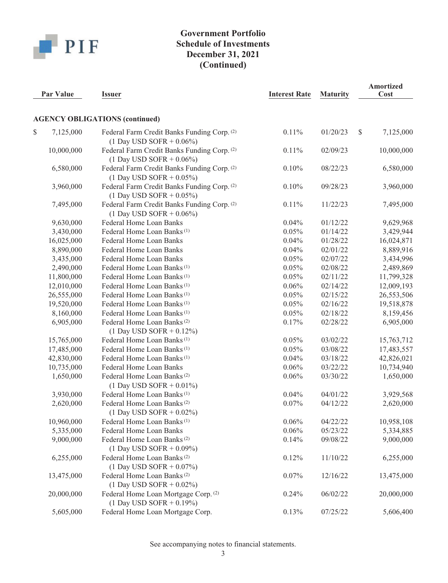

# **Government Portfolio Schedule of Investments December 31, 2021 (Continued)**

| <b>Par Value</b> | <b>Issuer</b>                                                             | <b>Interest Rate</b> | <b>Maturity</b> | <b>Amortized</b><br>Cost |
|------------------|---------------------------------------------------------------------------|----------------------|-----------------|--------------------------|
|                  | <b>AGENCY OBLIGATIONS (continued)</b>                                     |                      |                 |                          |
| \$<br>7,125,000  | Federal Farm Credit Banks Funding Corp. (2)<br>$(1$ Day USD SOFR + 0.06%) | 0.11%                | 01/20/23        | 7,125,000<br>S           |
| 10,000,000       | Federal Farm Credit Banks Funding Corp. (2)<br>$(1$ Day USD SOFR + 0.06%) | 0.11%                | 02/09/23        | 10,000,000               |
| 6,580,000        | Federal Farm Credit Banks Funding Corp. (2)<br>$(1$ Day USD SOFR + 0.05%) | 0.10%                | 08/22/23        | 6,580,000                |
| 3,960,000        | Federal Farm Credit Banks Funding Corp. (2)<br>$(1$ Day USD SOFR + 0.05%) | 0.10%                | 09/28/23        | 3,960,000                |
| 7,495,000        | Federal Farm Credit Banks Funding Corp. (2)<br>$(1$ Day USD SOFR + 0.06%) | 0.11%                | 11/22/23        | 7,495,000                |
| 9,630,000        | Federal Home Loan Banks                                                   | 0.04%                | 01/12/22        | 9,629,968                |
| 3,430,000        | Federal Home Loan Banks <sup>(1)</sup>                                    | 0.05%                | 01/14/22        | 3,429,944                |
| 16,025,000       | Federal Home Loan Banks                                                   | 0.04%                | 01/28/22        | 16,024,871               |
| 8,890,000        | Federal Home Loan Banks                                                   | 0.04%                | 02/01/22        | 8,889,916                |
| 3,435,000        | Federal Home Loan Banks                                                   | 0.05%                | 02/07/22        | 3,434,996                |
| 2,490,000        | Federal Home Loan Banks <sup>(1)</sup>                                    | 0.05%                | 02/08/22        | 2,489,869                |
| 11,800,000       | Federal Home Loan Banks <sup>(1)</sup>                                    | 0.05%                | 02/11/22        | 11,799,328               |
| 12,010,000       | Federal Home Loan Banks <sup>(1)</sup>                                    | 0.06%                | 02/14/22        | 12,009,193               |
| 26,555,000       | Federal Home Loan Banks <sup>(1)</sup>                                    | 0.05%                | 02/15/22        | 26,553,506               |
| 19,520,000       | Federal Home Loan Banks <sup>(1)</sup>                                    | 0.05%                | 02/16/22        | 19,518,878               |
| 8,160,000        | Federal Home Loan Banks <sup>(1)</sup>                                    | 0.05%                | 02/18/22        | 8,159,456                |
| 6,905,000        | Federal Home Loan Banks <sup>(2)</sup>                                    | 0.17%                | 02/28/22        | 6,905,000                |
|                  | $(1$ Day USD SOFR + 0.12%)                                                |                      |                 |                          |
| 15,765,000       | Federal Home Loan Banks <sup>(1)</sup>                                    | 0.05%                | 03/02/22        | 15,763,712               |
| 17,485,000       | Federal Home Loan Banks <sup>(1)</sup>                                    | 0.05%                | 03/08/22        | 17,483,557               |
| 42,830,000       | Federal Home Loan Banks <sup>(1)</sup>                                    | 0.04%                | 03/18/22        | 42,826,021               |
| 10,735,000       | Federal Home Loan Banks                                                   | 0.06%                | 03/22/22        | 10,734,940               |
| 1,650,000        | Federal Home Loan Banks <sup>(2)</sup>                                    | 0.06%                | 03/30/22        | 1,650,000                |
|                  | $(1$ Day USD SOFR + 0.01%)                                                |                      |                 |                          |
| 3,930,000        | Federal Home Loan Banks <sup>(1)</sup>                                    | 0.04%                | 04/01/22        | 3,929,568                |
| 2,620,000        | Federal Home Loan Banks <sup>(2)</sup>                                    | 0.07%                | 04/12/22        | 2,620,000                |
|                  | $(1$ Day USD SOFR + 0.02%)                                                |                      |                 |                          |
| 10,960,000       | Federal Home Loan Banks <sup>(1)</sup>                                    | 0.06%                | 04/22/22        | 10,958,108               |
| 5,335,000        | Federal Home Loan Banks                                                   | 0.06%                | 05/23/22        | 5,334,885                |
| 9,000,000        | Federal Home Loan Banks <sup>(2)</sup>                                    | 0.14%                | 09/08/22        | 9,000,000                |
|                  | $(1$ Day USD SOFR + 0.09%)                                                |                      |                 |                          |
| 6,255,000        | Federal Home Loan Banks <sup>(2)</sup>                                    | 0.12%                | 11/10/22        | 6,255,000                |
|                  | $(1$ Day USD SOFR + 0.07%)                                                |                      |                 |                          |
| 13,475,000       | Federal Home Loan Banks <sup>(2)</sup>                                    | 0.07%                | 12/16/22        | 13,475,000               |
|                  | $(1$ Day USD SOFR + 0.02%)                                                |                      |                 |                          |
| 20,000,000       | Federal Home Loan Mortgage Corp. (2)<br>$(1$ Day USD SOFR + 0.19%)        | 0.24%                | 06/02/22        | 20,000,000               |
| 5,605,000        | Federal Home Loan Mortgage Corp.                                          | 0.13%                | 07/25/22        | 5,606,400                |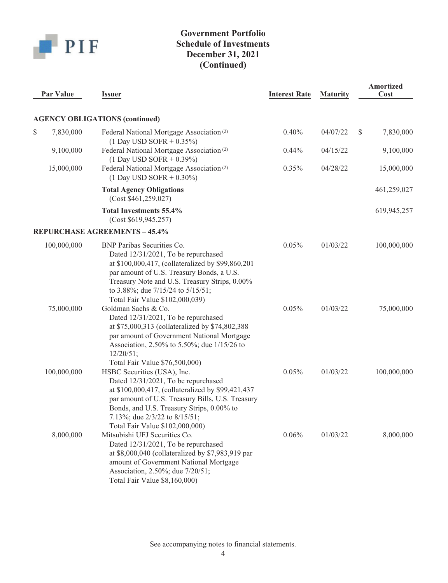

# **Government Portfolio Schedule of Investments December 31, 2021 (Continued)**

| <b>Par Value</b>          | <i><u><b>Issuer</b></u></i>                                                                                                                                                                                                                                                                  | <b>Interest Rate</b> | <b>Maturity</b> |              | <b>Amortized</b><br>Cost |
|---------------------------|----------------------------------------------------------------------------------------------------------------------------------------------------------------------------------------------------------------------------------------------------------------------------------------------|----------------------|-----------------|--------------|--------------------------|
|                           | <b>AGENCY OBLIGATIONS (continued)</b>                                                                                                                                                                                                                                                        |                      |                 |              |                          |
| $\mathbb{S}$<br>7,830,000 | Federal National Mortgage Association <sup>(2)</sup><br>$(1$ Day USD SOFR + 0.35%)                                                                                                                                                                                                           | 0.40%                | 04/07/22        | <sup>S</sup> | 7,830,000                |
| 9,100,000                 | Federal National Mortgage Association <sup>(2)</sup><br>$(1$ Day USD SOFR + 0.39%)                                                                                                                                                                                                           | 0.44%                | 04/15/22        |              | 9,100,000                |
| 15,000,000                | Federal National Mortgage Association <sup>(2)</sup><br>$(1$ Day USD SOFR + 0.30%)                                                                                                                                                                                                           | 0.35%                | 04/28/22        |              | 15,000,000               |
|                           | <b>Total Agency Obligations</b><br>(Cost \$461,259,027)                                                                                                                                                                                                                                      |                      |                 |              | 461,259,027              |
|                           | <b>Total Investments 55.4%</b><br>(Cost \$619,945,257)                                                                                                                                                                                                                                       |                      |                 |              | 619,945,257              |
|                           | <b>REPURCHASE AGREEMENTS - 45.4%</b>                                                                                                                                                                                                                                                         |                      |                 |              |                          |
| 100,000,000               | BNP Paribas Securities Co.<br>Dated 12/31/2021, To be repurchased<br>at \$100,000,417, (collateralized by \$99,860,201<br>par amount of U.S. Treasury Bonds, a U.S.<br>Treasury Note and U.S. Treasury Strips, 0.00%<br>to 3.88%; due 7/15/24 to 5/15/51;<br>Total Fair Value \$102,000,039) | 0.05%                | 01/03/22        |              | 100,000,000              |
| 75,000,000                | Goldman Sachs & Co.<br>Dated 12/31/2021, To be repurchased<br>at \$75,000,313 (collateralized by \$74,802,388)<br>par amount of Government National Mortgage<br>Association, 2.50% to 5.50%; due 1/15/26 to<br>12/20/51;<br>Total Fair Value \$76,500,000)                                   | 0.05%                | 01/03/22        |              | 75,000,000               |
| 100,000,000               | HSBC Securities (USA), Inc.<br>Dated 12/31/2021, To be repurchased<br>at \$100,000,417, (collateralized by \$99,421,437<br>par amount of U.S. Treasury Bills, U.S. Treasury<br>Bonds, and U.S. Treasury Strips, 0.00% to<br>7.13%; due 2/3/22 to 8/15/51;<br>Total Fair Value \$102,000,000) | 0.05%                | 01/03/22        |              | 100,000,000              |
| 8,000,000                 | Mitsubishi UFJ Securities Co.<br>Dated 12/31/2021, To be repurchased<br>at \$8,000,040 (collateralized by \$7,983,919 par<br>amount of Government National Mortgage<br>Association, 2.50%; due 7/20/51;<br>Total Fair Value \$8,160,000)                                                     | 0.06%                | 01/03/22        |              | 8,000,000                |

See accompanying notes to financial statements.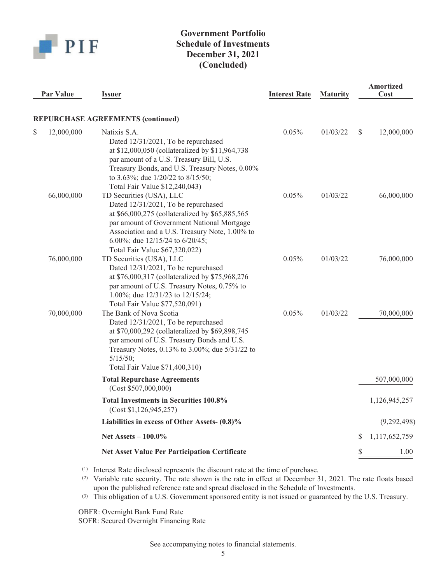

## **Government Portfolio Schedule of Investments December 31, 2021 (Concluded)**

| <b>Par Value</b>           | <b>Issuer</b>                                                                                                                                                                                                                                                                                                                  | <b>Interest Rate</b> | <b>Maturity</b> | <b>Amortized</b><br>Cost |
|----------------------------|--------------------------------------------------------------------------------------------------------------------------------------------------------------------------------------------------------------------------------------------------------------------------------------------------------------------------------|----------------------|-----------------|--------------------------|
|                            | <b>REPURCHASE AGREEMENTS (continued)</b>                                                                                                                                                                                                                                                                                       |                      |                 |                          |
| $\mathbb{S}$<br>12,000,000 | Natixis S.A.<br>Dated 12/31/2021, To be repurchased<br>at \$12,000,050 (collateralized by \$11,964,738<br>par amount of a U.S. Treasury Bill, U.S.<br>Treasury Bonds, and U.S. Treasury Notes, 0.00%<br>to 3.63%; due $1/20/22$ to 8/15/50;                                                                                    | 0.05%                | 01/03/22        | S<br>12,000,000          |
| 66,000,000                 | Total Fair Value \$12,240,043)<br>TD Securities (USA), LLC<br>Dated 12/31/2021, To be repurchased<br>at \$66,000,275 (collateralized by \$65,885,565<br>par amount of Government National Mortgage<br>Association and a U.S. Treasury Note, 1.00% to<br>6.00%; due $12/15/24$ to $6/20/45$ ;<br>Total Fair Value \$67,320,022) | 0.05%                | 01/03/22        | 66,000,000               |
| 76,000,000                 | TD Securities (USA), LLC<br>Dated 12/31/2021, To be repurchased<br>at \$76,000,317 (collateralized by \$75,968,276<br>par amount of U.S. Treasury Notes, 0.75% to<br>1.00%; due $12/31/23$ to $12/15/24$ ;<br>Total Fair Value \$77,520,091)                                                                                   | 0.05%                | 01/03/22        | 76,000,000               |
| 70,000,000                 | The Bank of Nova Scotia<br>Dated 12/31/2021, To be repurchased<br>at \$70,000,292 (collateralized by \$69,898,745<br>par amount of U.S. Treasury Bonds and U.S.<br>Treasury Notes, 0.13% to 3.00%; due 5/31/22 to<br>5/15/50;<br>Total Fair Value \$71,400,310)                                                                | 0.05%                | 01/03/22        | 70,000,000               |
|                            | <b>Total Repurchase Agreements</b><br>(Cost \$507,000,000)                                                                                                                                                                                                                                                                     |                      |                 | 507,000,000              |
|                            | Total Investments in Securities 100.8%<br>(Cost \$1,126,945,257)                                                                                                                                                                                                                                                               |                      |                 | 1,126,945,257            |
|                            | Liabilities in excess of Other Assets- (0.8)%                                                                                                                                                                                                                                                                                  |                      |                 | (9,292,498)              |
|                            | Net Assets $-100.0\%$                                                                                                                                                                                                                                                                                                          |                      |                 | \$<br>1,117,652,759      |
|                            | <b>Net Asset Value Per Participation Certificate</b>                                                                                                                                                                                                                                                                           |                      |                 | \$<br>1.00               |

(1) Interest Rate disclosed represents the discount rate at the time of purchase.

(2) Variable rate security. The rate shown is the rate in effect at December 31, 2021. The rate floats based upon the published reference rate and spread disclosed in the Schedule of Investments.

(3) This obligation of a U.S. Government sponsored entity is not issued or guaranteed by the U.S. Treasury.

OBFR: Overnight Bank Fund Rate

SOFR: Secured Overnight Financing Rate

See accompanying notes to financial statements.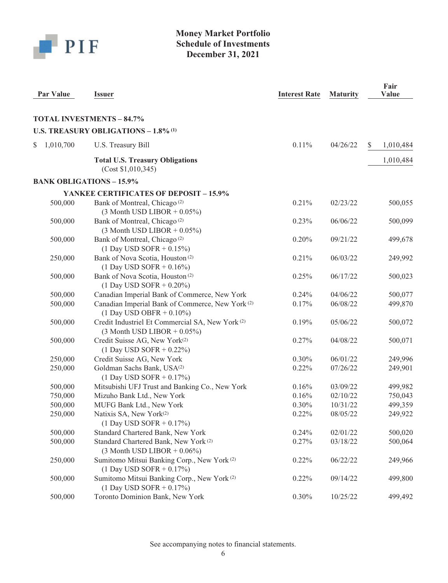

### **Money Market Portfolio Schedule of Investments December 31, 2021**

| Par Value       | <b>Issuer</b>                                                                                         | <b>Interest Rate</b> | <b>Maturity</b> | Fair<br>Value   |
|-----------------|-------------------------------------------------------------------------------------------------------|----------------------|-----------------|-----------------|
|                 | <b>TOTAL INVESTMENTS - 84.7%</b>                                                                      |                      |                 |                 |
|                 | U.S. TREASURY OBLIGATIONS - 1.8% (1)                                                                  |                      |                 |                 |
| 1,010,700<br>\$ | U.S. Treasury Bill                                                                                    | 0.11%                | 04/26/22        | \$<br>1,010,484 |
|                 | <b>Total U.S. Treasury Obligations</b><br>(Cost \$1,010,345)                                          |                      |                 | 1,010,484       |
|                 | <b>BANK OBLIGATIONS - 15.9%</b>                                                                       |                      |                 |                 |
|                 | YANKEE CERTIFICATES OF DEPOSIT - 15.9%                                                                |                      |                 |                 |
| 500,000         | Bank of Montreal, Chicago <sup>(2)</sup><br>$(3 \text{ Month USD LIBOR} + 0.05\%)$                    | 0.21%                | 02/23/22        | 500,055         |
| 500,000         | Bank of Montreal, Chicago <sup>(2)</sup><br>$(3 \text{ Month USD LIBOR} + 0.05\%)$                    | 0.23%                | 06/06/22        | 500,099         |
| 500,000         | Bank of Montreal, Chicago <sup>(2)</sup><br>$(1$ Day USD SOFR + 0.15%)                                | 0.20%                | 09/21/22        | 499,678         |
| 250,000         | Bank of Nova Scotia, Houston <sup>(2)</sup><br>$(1$ Day USD SOFR + 0.16%)                             | 0.21%                | 06/03/22        | 249,992         |
| 500,000         | Bank of Nova Scotia, Houston <sup>(2)</sup><br>$(1$ Day USD SOFR + 0.20%)                             | 0.25%                | 06/17/22        | 500,023         |
| 500,000         | Canadian Imperial Bank of Commerce, New York                                                          | 0.24%                | 04/06/22        | 500,077         |
| 500,000         | Canadian Imperial Bank of Commerce, New York <sup>(2)</sup><br>$(1$ Day USD OBFR + 0.10%)             | 0.17%                | 06/08/22        | 499,870         |
| 500,000         | Credit Industriel Et Commercial SA, New York <sup>(2)</sup><br>$(3 \text{ Month USD LIBOR} + 0.05\%)$ | 0.19%                | 05/06/22        | 500,072         |
| 500,000         | Credit Suisse AG, New York <sup>(2)</sup><br>$(1$ Day USD SOFR + 0.22%)                               | 0.27%                | 04/08/22        | 500,071         |
| 250,000         | Credit Suisse AG, New York                                                                            | 0.30%                | 06/01/22        | 249,996         |
| 250,000         | Goldman Sachs Bank, USA(2)<br>$(1$ Day USD SOFR + 0.17%)                                              | 0.22%                | 07/26/22        | 249,901         |
| 500,000         | Mitsubishi UFJ Trust and Banking Co., New York                                                        | 0.16%                | 03/09/22        | 499,982         |
| 750,000         | Mizuho Bank Ltd., New York                                                                            | 0.16%                | 02/10/22        | 750,043         |
| 500,000         | MUFG Bank Ltd., New York                                                                              | 0.30%                | 10/31/22        | 499,359         |
| 250,000         | Natixis SA, New York <sup>(2)</sup>                                                                   | 0.22%                | 08/05/22        | 249,922         |
|                 | $(1$ Day USD SOFR + 0.17%)                                                                            |                      |                 |                 |
| 500,000         | Standard Chartered Bank, New York                                                                     | 0.24%                | 02/01/22        | 500,020         |
| 500,000         | Standard Chartered Bank, New York <sup>(2)</sup><br>$(3 \text{ Month USD LIBOR} + 0.06\%)$            | 0.27%                | 03/18/22        | 500,064         |
| 250,000         | Sumitomo Mitsui Banking Corp., New York <sup>(2)</sup><br>$(1$ Day USD SOFR + 0.17%)                  | 0.22%                | 06/22/22        | 249,966         |
| 500,000         | Sumitomo Mitsui Banking Corp., New York <sup>(2)</sup><br>$(1$ Day USD SOFR + 0.17%)                  | 0.22%                | 09/14/22        | 499,800         |
| 500,000         | Toronto Dominion Bank, New York                                                                       | 0.30%                | 10/25/22        | 499,492         |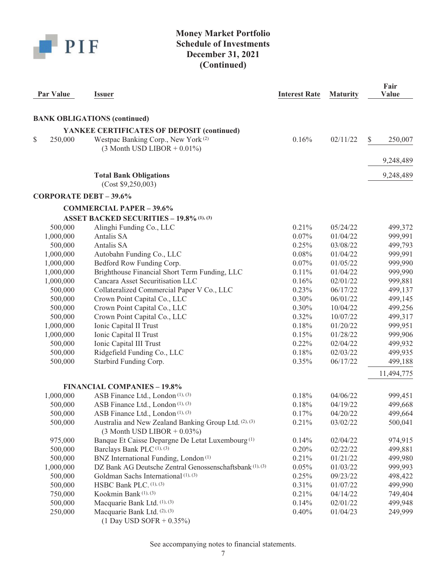

# **Money Market Portfolio Schedule of Investments December 31, 2021 (Continued)**

| <b>Par Value</b>              | <b>Issuer</b>                                                                                   | <b>Interest Rate</b> | <b>Maturity</b> | Fair<br>Value           |
|-------------------------------|-------------------------------------------------------------------------------------------------|----------------------|-----------------|-------------------------|
|                               |                                                                                                 |                      |                 |                         |
|                               | <b>BANK OBLIGATIONS (continued)</b>                                                             |                      |                 |                         |
|                               | YANKEE CERTIFICATES OF DEPOSIT (continued)                                                      |                      |                 |                         |
| $\mathbb{S}$<br>250,000       | Westpac Banking Corp., New York <sup>(2)</sup><br>$(3 \text{ Month USD LIBOR} + 0.01\%)$        | 0.16%                | 02/11/22        | $\mathbb{S}$<br>250,007 |
|                               |                                                                                                 |                      |                 | 9,248,489               |
|                               | <b>Total Bank Obligations</b><br>(Cost \$9,250,003)                                             |                      |                 | 9,248,489               |
| <b>CORPORATE DEBT - 39.6%</b> |                                                                                                 |                      |                 |                         |
|                               | <b>COMMERCIAL PAPER - 39.6%</b>                                                                 |                      |                 |                         |
|                               | <b>ASSET BACKED SECURITIES - 19.8% (1), (3)</b>                                                 |                      |                 |                         |
| 500,000                       | Alinghi Funding Co., LLC                                                                        | 0.21%                | 05/24/22        | 499,372                 |
| 1,000,000                     | Antalis SA                                                                                      | 0.07%                | 01/04/22        | 999,991                 |
| 500,000                       | Antalis SA                                                                                      | 0.25%                | 03/08/22        | 499,793                 |
| 1,000,000                     | Autobahn Funding Co., LLC                                                                       | 0.08%                | 01/04/22        | 999,991                 |
| 1,000,000                     | Bedford Row Funding Corp.                                                                       | 0.07%                | 01/05/22        | 999,990                 |
| 1,000,000                     | Brighthouse Financial Short Term Funding, LLC                                                   | 0.11%                | 01/04/22        | 999,990                 |
| 1,000,000                     | Cancara Asset Securitisation LLC                                                                | 0.16%                | 02/01/22        | 999,881                 |
| 500,000                       | Collateralized Commercial Paper V Co., LLC                                                      | 0.23%                | 06/17/22        | 499,137                 |
| 500,000                       | Crown Point Capital Co., LLC                                                                    | 0.30%                | 06/01/22        | 499,145                 |
| 500,000                       | Crown Point Capital Co., LLC                                                                    | 0.30%                | 10/04/22        | 499,256                 |
| 500,000                       | Crown Point Capital Co., LLC                                                                    | 0.32%                | 10/07/22        | 499,317                 |
| 1,000,000                     | Ionic Capital II Trust                                                                          | 0.18%                | 01/20/22        | 999,951                 |
| 1,000,000                     | Ionic Capital II Trust                                                                          | 0.15%                | 01/28/22        | 999,906                 |
| 500,000                       | Ionic Capital III Trust                                                                         | 0.22%                | 02/04/22        | 499,932                 |
| 500,000                       | Ridgefield Funding Co., LLC                                                                     | 0.18%                | 02/03/22        | 499,935                 |
| 500,000                       | Starbird Funding Corp.                                                                          | 0.35%                | 06/17/22        | 499,188                 |
|                               |                                                                                                 |                      |                 | 11,494,775              |
|                               | <b>FINANCIAL COMPANIES - 19.8%</b>                                                              |                      |                 |                         |
| 1,000,000                     | ASB Finance Ltd., London <sup>(1), (3)</sup>                                                    | 0.18%                | 04/06/22        | 999,451                 |
| 500,000                       | ASB Finance Ltd., London <sup>(1), (3)</sup>                                                    | 0.18%                | 04/19/22        | 499,668                 |
| 500,000                       | ASB Finance Ltd., London <sup>(1), (3)</sup>                                                    | 0.17%                | 04/20/22        | 499,664                 |
| 500,000                       | Australia and New Zealand Banking Group Ltd. (2), (3)<br>$(3 \text{ Month USD LIBOR} + 0.03\%)$ | 0.21%                | 03/02/22        | 500,041                 |
| 975,000                       | Banque Et Caisse Depargne De Letat Luxembourg <sup>(1)</sup>                                    | 0.14%                | 02/04/22        | 974,915                 |
| 500,000                       | Barclays Bank PLC <sup>(1), (3)</sup>                                                           | 0.20%                | 02/22/22        | 499,881                 |
| 500,000                       | BNZ International Funding, London <sup>(1)</sup>                                                | 0.21%                | 01/21/22        | 499,980                 |
| 1,000,000                     | DZ Bank AG Deutsche Zentral Genossenschaftsbank (1), (3)                                        | 0.05%                | 01/03/22        | 999,993                 |
| 500,000                       | Goldman Sachs International (1), (3)                                                            | 0.25%                | 09/23/22        | 498,422                 |
| 500,000                       | HSBC Bank PLC. (1), (3)                                                                         | 0.31%                | 01/07/22        | 499,990                 |
| 750,000                       | Kookmin Bank (1), (3)                                                                           | 0.21%                | 04/14/22        | 749,404                 |
| 500,000                       | Macquarie Bank Ltd. (1), (3)                                                                    | 0.14%                | 02/01/22        | 499,948                 |
| 250,000                       | Macquarie Bank Ltd. (2), (3)                                                                    | 0.40%                | 01/04/23        | 249,999                 |
|                               | $(1$ Day USD SOFR + 0.35%)                                                                      |                      |                 |                         |

See accompanying notes to financial statements.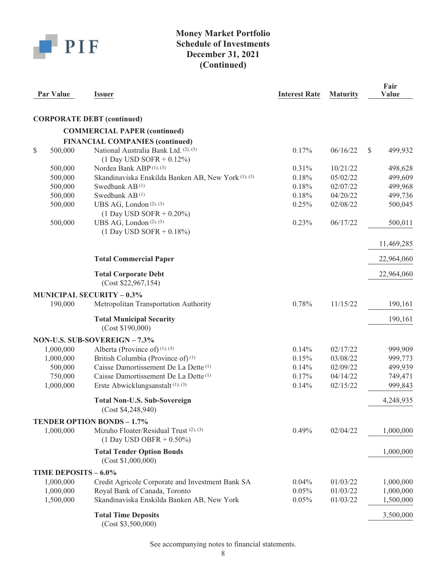

# **Money Market Portfolio Schedule of Investments December 31, 2021 (Continued)**

| Par Value            | <i><u><b>Issuer</b></u></i>                                          | <b>Interest Rate</b> | <b>Maturity</b> | Fair<br><b>Value</b> |
|----------------------|----------------------------------------------------------------------|----------------------|-----------------|----------------------|
|                      | <b>CORPORATE DEBT</b> (continued)                                    |                      |                 |                      |
|                      | <b>COMMERCIAL PAPER (continued)</b>                                  |                      |                 |                      |
|                      | <b>FINANCIAL COMPANIES (continued)</b>                               |                      |                 |                      |
| \$<br>500,000        | National Australia Bank Ltd. (2), (3)                                | 0.17%                | 06/16/22        | \$<br>499,932        |
|                      | $(1$ Day USD SOFR + 0.12%)                                           |                      |                 |                      |
| 500,000              | Nordea Bank ABP (1), (3)                                             | 0.31%                | 10/21/22        | 498,628              |
| 500,000              | Skandinaviska Enskilda Banken AB, New York (1), (3)                  | 0.18%                | 05/02/22        | 499,609              |
| 500,000              | Swedbank AB <sup>(1)</sup>                                           | 0.18%                | 02/07/22        | 499,968              |
| 500,000              | Swedbank AB <sup>(1)</sup>                                           | 0.18%                | 04/20/22        | 499,736              |
| 500,000              | UBS AG, London <sup>(2), (3)</sup>                                   | 0.25%                | 02/08/22        | 500,045              |
|                      | $(1$ Day USD SOFR + 0.20%)                                           |                      |                 |                      |
| 500,000              | UBS AG, London <sup>(2), (3)</sup>                                   | 0.23%                | 06/17/22        | 500,011              |
|                      | $(1$ Day USD SOFR + 0.18%)                                           |                      |                 |                      |
|                      |                                                                      |                      |                 | 11,469,285           |
|                      | <b>Total Commercial Paper</b>                                        |                      |                 | 22,964,060           |
|                      | <b>Total Corporate Debt</b>                                          |                      |                 | 22,964,060           |
|                      | (Cost \$22,967,154)                                                  |                      |                 |                      |
|                      | <b>MUNICIPAL SECURITY - 0.3%</b>                                     |                      |                 |                      |
| 190,000              | Metropolitan Transportation Authority                                | 0.78%                | 11/15/22        | 190,161              |
|                      | <b>Total Municipal Security</b>                                      |                      |                 | 190,161              |
|                      | (Cost \$190,000)                                                     |                      |                 |                      |
|                      | NON-U.S. SUB-SOVEREIGN - 7.3%                                        |                      |                 |                      |
| 1,000,000            | Alberta (Province of) $(1), (3)$                                     | 0.14%                | 02/17/22        | 999,909              |
| 1,000,000            | British Columbia (Province of) <sup>(1)</sup>                        | 0.15%                | 03/08/22        | 999,773              |
| 500,000              | Caisse Damortissement De La Dette (1)                                | 0.14%                | 02/09/22        | 499,939              |
| 750,000              | Caisse Damortissement De La Dette (1)                                | 0.17%                | 04/14/22        | 749,471              |
| 1,000,000            | Erste Abwicklungsanstalt <sup>(1),(3)</sup>                          | 0.14%                | 02/15/22        | 999,843              |
|                      | <b>Total Non-U.S. Sub-Sovereign</b><br>(Cost \$4,248,940)            |                      |                 | 4,248,935            |
|                      | <b>TENDER OPTION BONDS - 1.7%</b>                                    |                      |                 |                      |
| 1,000,000            | Mizuho Floater/Residual Trust (2), (3)<br>$(1$ Day USD OBFR + 0.50%) | 0.49%                | 02/04/22        | 1,000,000            |
|                      | <b>Total Tender Option Bonds</b>                                     |                      |                 | 1,000,000            |
|                      | (Cost \$1,000,000)                                                   |                      |                 |                      |
| TIME DEPOSITS - 6.0% |                                                                      |                      |                 |                      |
| 1,000,000            | Credit Agricole Corporate and Investment Bank SA                     | 0.04%                | 01/03/22        | 1,000,000            |
| 1,000,000            | Royal Bank of Canada, Toronto                                        | 0.05%                | 01/03/22        | 1,000,000            |
| 1,500,000            | Skandinaviska Enskilda Banken AB, New York                           | 0.05%                | 01/03/22        | 1,500,000            |
|                      | <b>Total Time Deposits</b><br>(Cost \$3,500,000)                     |                      |                 | 3,500,000            |

See accompanying notes to financial statements.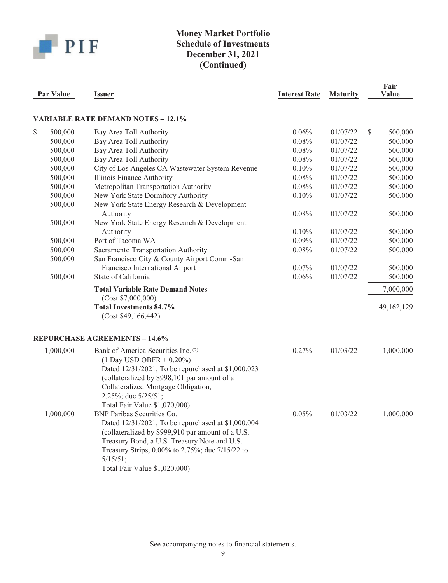

# **Money Market Portfolio Schedule of Investments December 31, 2021 (Continued)**

| Par Value     | <b>Issuer</b>                                                                                      | <b>Interest Rate</b> | <b>Maturity</b> |              | Fair<br>Value |
|---------------|----------------------------------------------------------------------------------------------------|----------------------|-----------------|--------------|---------------|
|               | <b>VARIABLE RATE DEMAND NOTES - 12.1%</b>                                                          |                      |                 |              |               |
| \$<br>500,000 | Bay Area Toll Authority                                                                            | 0.06%                | 01/07/22        | $\mathbb{S}$ | 500,000       |
| 500,000       | Bay Area Toll Authority                                                                            | 0.08%                | 01/07/22        |              | 500,000       |
| 500,000       | Bay Area Toll Authority                                                                            | 0.08%                | 01/07/22        |              | 500,000       |
| 500,000       | Bay Area Toll Authority                                                                            | 0.08%                | 01/07/22        |              | 500,000       |
| 500,000       | City of Los Angeles CA Wastewater System Revenue                                                   | 0.10%                | 01/07/22        |              | 500,000       |
| 500,000       | Illinois Finance Authority                                                                         | 0.08%                | 01/07/22        |              | 500,000       |
| 500,000       | Metropolitan Transportation Authority                                                              | 0.08%                | 01/07/22        |              | 500,000       |
| 500,000       | New York State Dormitory Authority                                                                 | 0.10%                | 01/07/22        |              | 500,000       |
| 500,000       | New York State Energy Research & Development                                                       |                      |                 |              |               |
|               | Authority                                                                                          | 0.08%                | 01/07/22        |              | 500,000       |
| 500,000       | New York State Energy Research & Development                                                       |                      |                 |              |               |
|               | Authority                                                                                          | 0.10%                | 01/07/22        |              | 500,000       |
| 500,000       | Port of Tacoma WA                                                                                  | $0.09\%$             | 01/07/22        |              | 500,000       |
| 500,000       | Sacramento Transportation Authority                                                                | 0.08%                | 01/07/22        |              | 500,000       |
| 500,000       | San Francisco City & County Airport Comm-San                                                       |                      |                 |              |               |
|               | Francisco International Airport                                                                    | 0.07%                | 01/07/22        |              | 500,000       |
| 500,000       | State of California                                                                                | 0.06%                | 01/07/22        |              | 500,000       |
|               | <b>Total Variable Rate Demand Notes</b>                                                            |                      |                 |              | 7,000,000     |
|               | (Cost \$7,000,000)                                                                                 |                      |                 |              |               |
|               | <b>Total Investments 84.7%</b>                                                                     |                      |                 |              | 49, 162, 129  |
|               | (Cost \$49,166,442)                                                                                |                      |                 |              |               |
|               | <b>REPURCHASE AGREEMENTS - 14.6%</b>                                                               |                      |                 |              |               |
| 1,000,000     | Bank of America Securities Inc. (2)<br>$(1$ Day USD OBFR + 0.20%)                                  | $0.27\%$             | 01/03/22        |              | 1,000,000     |
|               | Dated 12/31/2021, To be repurchased at \$1,000,023<br>(collateralized by \$998,101 par amount of a |                      |                 |              |               |
|               | Collateralized Mortgage Obligation,                                                                |                      |                 |              |               |
|               | 2.25%; due $5/25/51$ ;                                                                             |                      |                 |              |               |
|               | Total Fair Value \$1,070,000)                                                                      |                      |                 |              |               |
| 1,000,000     | <b>BNP</b> Paribas Securities Co.                                                                  | 0.05%                | 01/03/22        |              | 1,000,000     |
|               | Dated 12/31/2021, To be repurchased at \$1,000,004                                                 |                      |                 |              |               |
|               | (collateralized by \$999,910 par amount of a U.S.                                                  |                      |                 |              |               |
|               | Treasury Bond, a U.S. Treasury Note and U.S.                                                       |                      |                 |              |               |
|               | Treasury Strips, 0.00% to 2.75%; due 7/15/22 to                                                    |                      |                 |              |               |
|               | 5/15/51;                                                                                           |                      |                 |              |               |
|               | Total Fair Value \$1,020,000)                                                                      |                      |                 |              |               |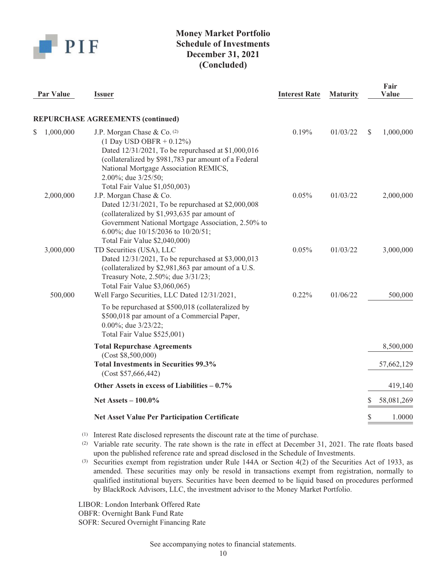

# **Money Market Portfolio Schedule of Investments December 31, 2021 (Concluded)**

| Par Value       | <b>Issuer</b>                                                                                                                                                                                                                                                            | <b>Interest Rate</b> | <b>Maturity</b> | Fair<br>Value   |
|-----------------|--------------------------------------------------------------------------------------------------------------------------------------------------------------------------------------------------------------------------------------------------------------------------|----------------------|-----------------|-----------------|
|                 | <b>REPURCHASE AGREEMENTS (continued)</b>                                                                                                                                                                                                                                 |                      |                 |                 |
| 1,000,000<br>\$ | J.P. Morgan Chase & Co. (2)<br>$(1$ Day USD OBFR + 0.12%)<br>Dated 12/31/2021, To be repurchased at \$1,000,016<br>(collateralized by \$981,783 par amount of a Federal<br>National Mortgage Association REMICS,<br>2.00%; due 3/25/50;<br>Total Fair Value \$1,050,003) | 0.19%                | 01/03/22        | 1,000,000<br>\$ |
| 2,000,000       | J.P. Morgan Chase & Co.<br>Dated 12/31/2021, To be repurchased at \$2,000,008<br>(collateralized by \$1,993,635 par amount of<br>Government National Mortgage Association, 2.50% to<br>6.00%; due 10/15/2036 to 10/20/51;<br>Total Fair Value \$2,040,000)               | 0.05%                | 01/03/22        | 2,000,000       |
| 3,000,000       | TD Securities (USA), LLC<br>Dated 12/31/2021, To be repurchased at \$3,000,013<br>(collateralized by \$2,981,863 par amount of a U.S.<br>Treasury Note, 2.50%; due 3/31/23;<br>Total Fair Value \$3,060,065)                                                             | 0.05%                | 01/03/22        | 3,000,000       |
| 500,000         | Well Fargo Securities, LLC Dated 12/31/2021,<br>To be repurchased at \$500,018 (collateralized by<br>\$500,018 par amount of a Commercial Paper,<br>0.00%; due 3/23/22;<br>Total Fair Value \$525,001)                                                                   | 0.22%                | 01/06/22        | 500,000         |
|                 | <b>Total Repurchase Agreements</b><br>(Cost \$8,500,000)                                                                                                                                                                                                                 |                      |                 | 8,500,000       |
|                 | Total Investments in Securities 99.3%<br>(Cost \$57,666,442)                                                                                                                                                                                                             |                      |                 | 57,662,129      |
|                 | Other Assets in excess of Liabilities $-0.7\%$                                                                                                                                                                                                                           |                      |                 | 419,140         |
|                 | Net Assets $-100.0\%$                                                                                                                                                                                                                                                    |                      |                 | 58,081,269<br>S |
|                 | <b>Net Asset Value Per Participation Certificate</b>                                                                                                                                                                                                                     |                      |                 | 1.0000<br>S     |

(1) Interest Rate disclosed represents the discount rate at the time of purchase.

- (2) Variable rate security. The rate shown is the rate in effect at December 31, 2021. The rate floats based upon the published reference rate and spread disclosed in the Schedule of Investments.
- (3) Securities exempt from registration under Rule 144A or Section 4(2) of the Securities Act of 1933, as amended. These securities may only be resold in transactions exempt from registration, normally to qualified institutional buyers. Securities have been deemed to be liquid based on procedures performed by BlackRock Advisors, LLC, the investment advisor to the Money Market Portfolio.

LIBOR: London Interbank Offered Rate OBFR: Overnight Bank Fund Rate SOFR: Secured Overnight Financing Rate

See accompanying notes to financial statements.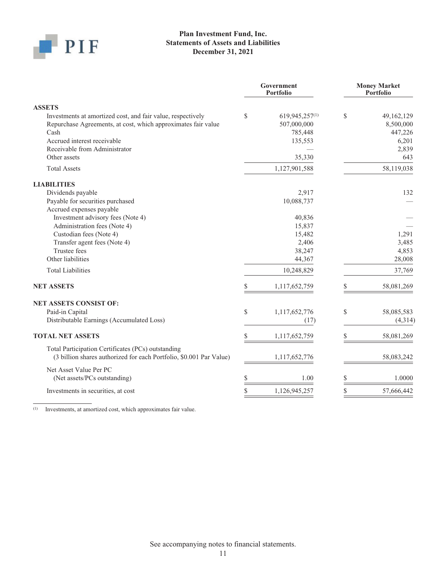

#### **Plan Investment Fund, Inc. Statements of Assets and Liabilities December 31, 2021**

|                                                                                                                           | Government<br>Portfolio |                | <b>Money Market</b><br><b>Portfolio</b> |            |
|---------------------------------------------------------------------------------------------------------------------------|-------------------------|----------------|-----------------------------------------|------------|
| <b>ASSETS</b>                                                                                                             |                         |                |                                         |            |
| Investments at amortized cost, and fair value, respectively                                                               | \$                      | 619,945,257(1) | \$                                      | 49,162,129 |
| Repurchase Agreements, at cost, which approximates fair value                                                             |                         | 507,000,000    |                                         | 8,500,000  |
| Cash                                                                                                                      |                         | 785,448        |                                         | 447,226    |
| Accrued interest receivable                                                                                               |                         | 135,553        |                                         | 6,201      |
| Receivable from Administrator                                                                                             |                         |                |                                         | 2,839      |
| Other assets                                                                                                              |                         | 35,330         |                                         | 643        |
| <b>Total Assets</b>                                                                                                       |                         | 1,127,901,588  |                                         | 58,119,038 |
| <b>LIABILITIES</b>                                                                                                        |                         |                |                                         |            |
| Dividends payable                                                                                                         |                         | 2,917          |                                         | 132        |
| Payable for securities purchased                                                                                          |                         | 10,088,737     |                                         |            |
| Accrued expenses payable<br>Investment advisory fees (Note 4)                                                             |                         | 40,836         |                                         |            |
| Administration fees (Note 4)                                                                                              |                         | 15,837         |                                         |            |
| Custodian fees (Note 4)                                                                                                   |                         | 15,482         |                                         | 1,291      |
| Transfer agent fees (Note 4)                                                                                              |                         | 2,406          |                                         | 3,485      |
| Trustee fees                                                                                                              |                         | 38,247         |                                         | 4,853      |
| Other liabilities                                                                                                         |                         | 44,367         |                                         | 28,008     |
| <b>Total Liabilities</b>                                                                                                  |                         | 10,248,829     |                                         | 37,769     |
| <b>NET ASSETS</b>                                                                                                         | S                       | 1,117,652,759  | \$                                      | 58,081,269 |
| <b>NET ASSETS CONSIST OF:</b>                                                                                             |                         |                |                                         |            |
| Paid-in Capital                                                                                                           | \$.                     | 1,117,652,776  | \$                                      | 58,085,583 |
| Distributable Earnings (Accumulated Loss)                                                                                 |                         | (17)           |                                         | (4,314)    |
| <b>TOTAL NET ASSETS</b>                                                                                                   | S                       | 1,117,652,759  | S                                       | 58,081,269 |
| Total Participation Certificates (PCs) outstanding<br>(3 billion shares authorized for each Portfolio, \$0.001 Par Value) |                         | 1,117,652,776  |                                         | 58,083,242 |
| Net Asset Value Per PC                                                                                                    |                         |                |                                         |            |
| (Net assets/PCs outstanding)                                                                                              | \$                      | 1.00           | \$                                      | 1.0000     |
| Investments in securities, at cost                                                                                        | \$                      | 1,126,945,257  | \$                                      | 57,666,442 |

(1) Investments, at amortized cost, which approximates fair value.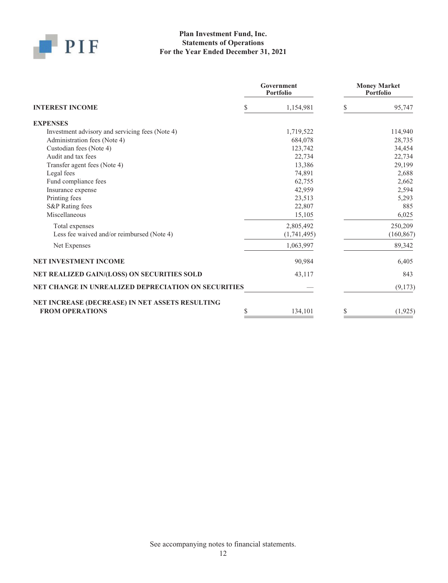

#### **Plan Investment Fund, Inc. Statements of Operations For the Year Ended December 31, 2021**

|                                                                           |    | Government<br>Portfolio | <b>Money Market</b><br><b>Portfolio</b> |            |
|---------------------------------------------------------------------------|----|-------------------------|-----------------------------------------|------------|
| <b>INTEREST INCOME</b>                                                    | \$ | 1,154,981               | \$                                      | 95,747     |
| <b>EXPENSES</b>                                                           |    |                         |                                         |            |
| Investment advisory and servicing fees (Note 4)                           |    | 1,719,522               |                                         | 114,940    |
| Administration fees (Note 4)                                              |    | 684,078                 |                                         | 28,735     |
| Custodian fees (Note 4)                                                   |    | 123,742                 |                                         | 34,454     |
| Audit and tax fees                                                        |    | 22,734                  |                                         | 22,734     |
| Transfer agent fees (Note 4)                                              |    | 13,386                  |                                         | 29,199     |
| Legal fees                                                                |    | 74,891                  |                                         | 2,688      |
| Fund compliance fees                                                      |    | 62,755                  |                                         | 2,662      |
| Insurance expense                                                         |    | 42,959                  |                                         | 2,594      |
| Printing fees                                                             |    | 23,513                  |                                         | 5,293      |
| S&P Rating fees                                                           |    | 22,807                  |                                         | 885        |
| Miscellaneous                                                             |    | 15,105                  |                                         | 6,025      |
| Total expenses                                                            |    | 2,805,492               |                                         | 250,209    |
| Less fee waived and/or reimbursed (Note 4)                                |    | (1,741,495)             |                                         | (160, 867) |
| Net Expenses                                                              |    | 1,063,997               |                                         | 89,342     |
| <b>NET INVESTMENT INCOME</b>                                              |    | 90,984                  |                                         | 6,405      |
| <b>NET REALIZED GAIN/(LOSS) ON SECURITIES SOLD</b>                        |    | 43,117                  |                                         | 843        |
| <b>NET CHANGE IN UNREALIZED DEPRECIATION ON SECURITIES</b>                |    |                         |                                         | (9,173)    |
| NET INCREASE (DECREASE) IN NET ASSETS RESULTING<br><b>FROM OPERATIONS</b> | \$ | 134,101                 | \$                                      | (1,925)    |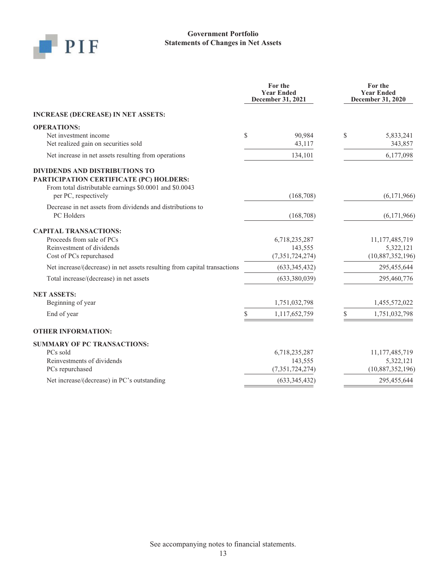

#### **Government Portfolio Statements of Changes in Net Assets**

|                                                                                                                                                              | For the<br><b>Year Ended</b><br>December 31, 2021 | For the<br><b>Year Ended</b><br>December 31, 2020 |  |
|--------------------------------------------------------------------------------------------------------------------------------------------------------------|---------------------------------------------------|---------------------------------------------------|--|
| <b>INCREASE (DECREASE) IN NET ASSETS:</b>                                                                                                                    |                                                   |                                                   |  |
| <b>OPERATIONS:</b>                                                                                                                                           |                                                   |                                                   |  |
| Net investment income<br>Net realized gain on securities sold                                                                                                | \$<br>90,984<br>43,117                            | \$<br>5,833,241<br>343,857                        |  |
| Net increase in net assets resulting from operations                                                                                                         | 134,101                                           | 6,177,098                                         |  |
| DIVIDENDS AND DISTRIBUTIONS TO<br>PARTICIPATION CERTIFICATE (PC) HOLDERS:<br>From total distributable earnings \$0.0001 and \$0.0043<br>per PC, respectively | (168,708)                                         | (6,171,966)                                       |  |
| Decrease in net assets from dividends and distributions to                                                                                                   |                                                   |                                                   |  |
| PC Holders                                                                                                                                                   | (168,708)                                         | (6,171,966)                                       |  |
| <b>CAPITAL TRANSACTIONS:</b>                                                                                                                                 |                                                   |                                                   |  |
| Proceeds from sale of PCs                                                                                                                                    | 6,718,235,287                                     | 11,177,485,719                                    |  |
| Reinvestment of dividends                                                                                                                                    | 143,555                                           | 5,322,121                                         |  |
| Cost of PCs repurchased                                                                                                                                      | (7,351,724,274)                                   | (10,887,352,196)                                  |  |
| Net increase/(decrease) in net assets resulting from capital transactions                                                                                    | (633, 345, 432)                                   | 295,455,644                                       |  |
| Total increase/(decrease) in net assets                                                                                                                      | (633,380,039)                                     | 295,460,776                                       |  |
| <b>NET ASSETS:</b>                                                                                                                                           |                                                   |                                                   |  |
| Beginning of year                                                                                                                                            | 1,751,032,798                                     | 1,455,572,022                                     |  |
| End of year                                                                                                                                                  | S<br>1,117,652,759                                | S<br>1,751,032,798                                |  |
| <b>OTHER INFORMATION:</b>                                                                                                                                    |                                                   |                                                   |  |
| <b>SUMMARY OF PC TRANSACTIONS:</b>                                                                                                                           |                                                   |                                                   |  |
| PCs sold                                                                                                                                                     | 6,718,235,287                                     | 11, 177, 485, 719                                 |  |
| Reinvestments of dividends                                                                                                                                   | 143,555                                           | 5,322,121                                         |  |
| PCs repurchased                                                                                                                                              | (7,351,724,274)                                   | (10,887,352,196)                                  |  |
| Net increase/(decrease) in PC's outstanding                                                                                                                  | (633, 345, 432)                                   | 295,455,644                                       |  |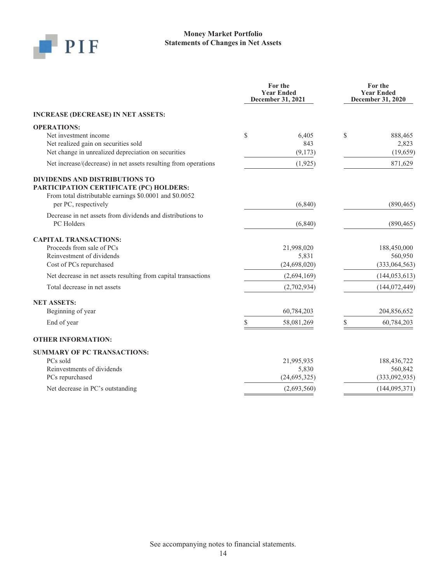

#### **Money Market Portfolio Statements of Changes in Net Assets**

|                                                                                                    |    | For the<br><b>Year Ended</b><br>December 31, 2021 | For the<br><b>Year Ended</b><br><b>December 31, 2020</b> |                 |
|----------------------------------------------------------------------------------------------------|----|---------------------------------------------------|----------------------------------------------------------|-----------------|
| <b>INCREASE (DECREASE) IN NET ASSETS:</b>                                                          |    |                                                   |                                                          |                 |
| <b>OPERATIONS:</b>                                                                                 |    |                                                   |                                                          |                 |
| Net investment income                                                                              | \$ | 6,405                                             | \$                                                       | 888,465         |
| Net realized gain on securities sold                                                               |    | 843                                               |                                                          | 2,823           |
| Net change in unrealized depreciation on securities                                                |    | (9,173)                                           |                                                          | (19, 659)       |
| Net increase/(decrease) in net assets resulting from operations                                    |    | (1,925)                                           |                                                          | 871,629         |
| DIVIDENDS AND DISTRIBUTIONS TO                                                                     |    |                                                   |                                                          |                 |
| PARTICIPATION CERTIFICATE (PC) HOLDERS:<br>From total distributable earnings \$0.0001 and \$0.0052 |    |                                                   |                                                          |                 |
| per PC, respectively                                                                               |    | (6, 840)                                          |                                                          | (890, 465)      |
| Decrease in net assets from dividends and distributions to                                         |    |                                                   |                                                          |                 |
| PC Holders                                                                                         |    | (6, 840)                                          |                                                          | (890, 465)      |
| <b>CAPITAL TRANSACTIONS:</b>                                                                       |    |                                                   |                                                          |                 |
| Proceeds from sale of PCs                                                                          |    | 21,998,020                                        |                                                          | 188,450,000     |
| Reinvestment of dividends                                                                          |    | 5,831                                             |                                                          | 560,950         |
| Cost of PCs repurchased                                                                            |    | (24, 698, 020)                                    |                                                          | (333,064,563)   |
| Net decrease in net assets resulting from capital transactions                                     |    | (2,694,169)                                       |                                                          | (144, 053, 613) |
| Total decrease in net assets                                                                       |    | (2,702,934)                                       |                                                          | (144, 072, 449) |
| <b>NET ASSETS:</b>                                                                                 |    |                                                   |                                                          |                 |
| Beginning of year                                                                                  |    | 60,784,203                                        |                                                          | 204,856,652     |
| End of year                                                                                        | S  | 58,081,269                                        | \$                                                       | 60,784,203      |
| <b>OTHER INFORMATION:</b>                                                                          |    |                                                   |                                                          |                 |
| <b>SUMMARY OF PC TRANSACTIONS:</b>                                                                 |    |                                                   |                                                          |                 |
| PCs sold                                                                                           |    | 21,995,935                                        |                                                          | 188,436,722     |
| Reinvestments of dividends                                                                         |    | 5,830                                             |                                                          | 560,842         |
| PCs repurchased                                                                                    |    | (24, 695, 325)                                    |                                                          | (333,092,935)   |
| Net decrease in PC's outstanding                                                                   |    | (2,693,560)                                       |                                                          | (144, 095, 371) |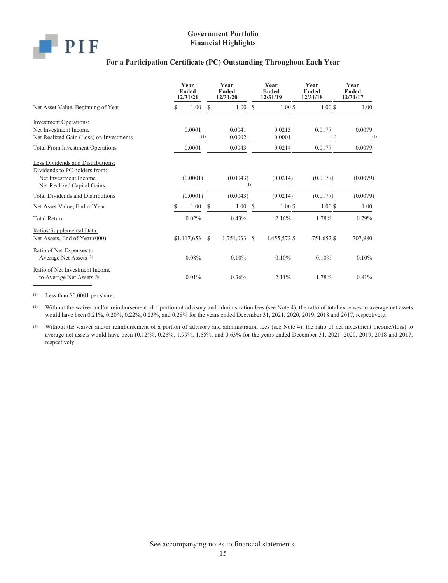

#### **Government Portfolio Financial Highlights**

#### **For a Participation Certificate (PC) Outstanding Throughout Each Year**

|                                                                    | Year<br><b>Ended</b><br>12/31/21 |               | Year<br><b>Ended</b><br>12/31/20 |               | Year<br><b>Ended</b><br>12/31/19 | Year<br><b>Ended</b><br>12/31/18 | Year<br><b>Ended</b><br>12/31/17 |
|--------------------------------------------------------------------|----------------------------------|---------------|----------------------------------|---------------|----------------------------------|----------------------------------|----------------------------------|
| Net Asset Value, Beginning of Year                                 | 1.00                             | <sup>\$</sup> | 1.00                             | S             | 1.00S                            | 1.00S                            | 1.00                             |
| <b>Investment Operations:</b>                                      |                                  |               |                                  |               |                                  |                                  |                                  |
| Net Investment Income                                              | 0.0001                           |               | 0.0041                           |               | 0.0213                           | 0.0177                           | 0.0079                           |
| Net Realized Gain (Loss) on Investments                            | $-$ (1)                          |               | 0.0002                           |               | 0.0001                           | $-$ (1)                          | $-$ (1)                          |
| <b>Total From Investment Operations</b>                            | 0.0001                           |               | 0.0043                           |               | 0.0214                           | 0.0177                           | 0.0079                           |
| Less Dividends and Distributions:<br>Dividends to PC holders from: |                                  |               |                                  |               |                                  |                                  |                                  |
| Net Investment Income                                              | (0.0001)                         |               | (0.0043)                         |               | (0.0214)                         | (0.0177)                         | (0.0079)                         |
| Net Realized Capital Gains                                         |                                  |               | $-$ (1)                          |               |                                  |                                  |                                  |
| <b>Total Dividends and Distributions</b>                           | (0.0001)                         |               | (0.0043)                         |               | (0.0214)                         | (0.0177)                         | (0.0079)                         |
| Net Asset Value, End of Year                                       | 1.00                             | <sup>\$</sup> | 1.00                             | S             | 1.00S                            | 1.00S                            | 1.00                             |
| Total Return                                                       | 0.02%                            |               | 0.43%                            |               | 2.16%                            | 1.78%                            | 0.79%                            |
| Ratios/Supplemental Data:                                          |                                  |               |                                  |               |                                  |                                  |                                  |
| Net Assets, End of Year (000)                                      | \$1,117,653                      | <sup>\$</sup> | 1,751,033                        | <sup>\$</sup> | 1,455,572 \$                     | 751,652 \$                       | 707,980                          |
| Ratio of Net Expenses to<br>Average Net Assets <sup>(2)</sup>      | 0.08%                            |               | 0.10%                            |               | 0.10%                            | 0.10%                            | 0.10%                            |
| Ratio of Net Investment Income<br>to Average Net Assets (3)        | 0.01%                            |               | 0.36%                            |               | 2.11%                            | 1.78%                            | 0.81%                            |

(1) Less than \$0.0001 per share.

(2) Without the waiver and/or reimbursement of a portion of advisory and administration fees (see Note 4), the ratio of total expenses to average net assets would have been 0.21%, 0.20%, 0.22%, 0.23%, and 0.28% for the years ended December 31, 2021, 2020, 2019, 2018 and 2017, respectively.

(3) Without the waiver and/or reimbursement of a portion of advisory and administration fees (see Note 4), the ratio of net investment income/(loss) to average net assets would have been (0.12)%, 0.26%, 1.99%, 1.65%, and 0.63% for the years ended December 31, 2021, 2020, 2019, 2018 and 2017, respectively.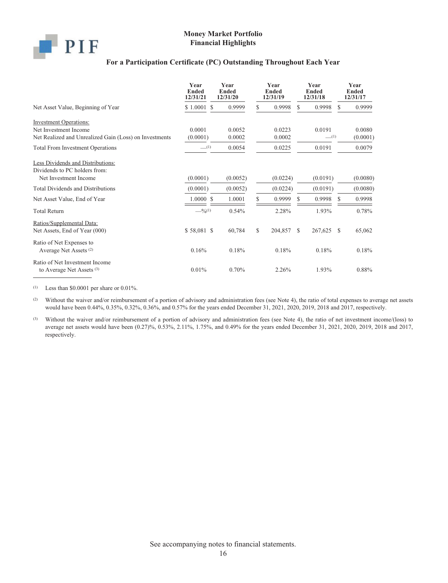

#### **Money Market Portfolio Financial Highlights**

#### **For a Participation Certificate (PC) Outstanding Throughout Each Year**

|                                                                                             | Year<br><b>Ended</b><br>12/31/21 | Year<br><b>Ended</b><br>12/31/20 |     | Year<br><b>Ended</b><br>12/31/19 |    | Year<br><b>Ended</b><br>12/31/18 |               | Year<br><b>Ended</b><br>12/31/17 |
|---------------------------------------------------------------------------------------------|----------------------------------|----------------------------------|-----|----------------------------------|----|----------------------------------|---------------|----------------------------------|
| Net Asset Value, Beginning of Year                                                          | \$1.0001<br>S                    | 0.9999                           | S.  | 0.9998                           | \$ | 0.9998                           | \$            | 0.9999                           |
| <b>Investment Operations:</b>                                                               |                                  |                                  |     |                                  |    |                                  |               |                                  |
| Net Investment Income                                                                       | 0.0001                           | 0.0052                           |     | 0.0223                           |    | 0.0191                           |               | 0.0080                           |
| Net Realized and Unrealized Gain (Loss) on Investments                                      | (0.0001)                         | 0.0002                           |     | 0.0002                           |    | $-$ (1)                          |               | (0.0001)                         |
| <b>Total From Investment Operations</b>                                                     | $-$ (1)                          | 0.0054                           |     | 0.0225                           |    | 0.0191                           |               | 0.0079                           |
| Less Dividends and Distributions:<br>Dividends to PC holders from:<br>Net Investment Income | (0.0001)                         |                                  |     |                                  |    |                                  |               | (0.0080)                         |
|                                                                                             |                                  | (0.0052)                         |     | (0.0224)                         |    | (0.0191)                         |               |                                  |
| <b>Total Dividends and Distributions</b>                                                    | (0.0001)                         | (0.0052)                         |     | (0.0224)                         |    | (0.0191)                         |               | (0.0080)                         |
| Net Asset Value, End of Year                                                                | 1.0000 S                         | 1.0001                           | \$. | 0.9999                           | S  | 0.9998                           | \$.           | 0.9998                           |
| <b>Total Return</b>                                                                         | $-9/0^{(1)}$                     | 0.54%                            |     | 2.28%                            |    | 1.93%                            |               | 0.78%                            |
| Ratios/Supplemental Data:                                                                   |                                  |                                  |     |                                  |    |                                  |               |                                  |
| Net Assets, End of Year (000)                                                               | $$58,081$ \$                     | 60,784                           | S   | 204,857                          | S  | 267,625                          | <sup>\$</sup> | 65,062                           |
| Ratio of Net Expenses to                                                                    |                                  |                                  |     |                                  |    |                                  |               |                                  |
| Average Net Assets <sup>(2)</sup>                                                           | 0.16%                            | 0.18%                            |     | 0.18%                            |    | 0.18%                            |               | 0.18%                            |
| Ratio of Net Investment Income<br>to Average Net Assets $(3)$                               | 0.01%                            | 0.70%                            |     | 2.26%                            |    | 1.93%                            |               | 0.88%                            |

 $(1)$  Less than \$0.0001 per share or 0.01%.

(2) Without the waiver and/or reimbursement of a portion of advisory and administration fees (see Note 4), the ratio of total expenses to average net assets would have been 0.44%, 0.35%, 0.32%, 0.36%, and 0.57% for the years ended December 31, 2021, 2020, 2019, 2018 and 2017, respectively.

(3) Without the waiver and/or reimbursement of a portion of advisory and administration fees (see Note 4), the ratio of net investment income/(loss) to average net assets would have been (0.27)%, 0.53%, 2.11%, 1.75%, and 0.49% for the years ended December 31, 2021, 2020, 2019, 2018 and 2017, respectively.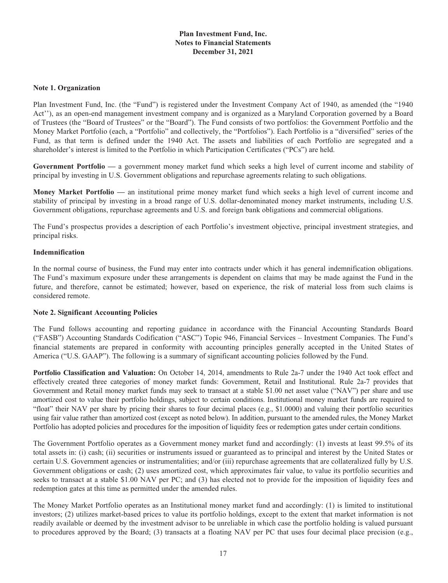#### **Plan Investment Fund, Inc. Notes to Financial Statements December 31, 2021**

#### **Note 1. Organization**

Plan Investment Fund, Inc. (the "Fund") is registered under the Investment Company Act of 1940, as amended (the "1940 Act''), as an open-end management investment company and is organized as a Maryland Corporation governed by a Board of Trustees (the "Board of Trustees" or the "Board"). The Fund consists of two portfolios: the Government Portfolio and the Money Market Portfolio (each, a "Portfolio" and collectively, the "Portfolios"). Each Portfolio is a "diversified" series of the Fund, as that term is defined under the 1940 Act. The assets and liabilities of each Portfolio are segregated and a shareholder's interest is limited to the Portfolio in which Participation Certificates ("PCs") are held.

**Government Portfolio —** a government money market fund which seeks a high level of current income and stability of principal by investing in U.S. Government obligations and repurchase agreements relating to such obligations.

**Money Market Portfolio —** an institutional prime money market fund which seeks a high level of current income and stability of principal by investing in a broad range of U.S. dollar-denominated money market instruments, including U.S. Government obligations, repurchase agreements and U.S. and foreign bank obligations and commercial obligations.

The Fund's prospectus provides a description of each Portfolio's investment objective, principal investment strategies, and principal risks.

#### **Indemnification**

In the normal course of business, the Fund may enter into contracts under which it has general indemnification obligations. The Fund's maximum exposure under these arrangements is dependent on claims that may be made against the Fund in the future, and therefore, cannot be estimated; however, based on experience, the risk of material loss from such claims is considered remote.

#### **Note 2. Significant Accounting Policies**

The Fund follows accounting and reporting guidance in accordance with the Financial Accounting Standards Board ("FASB") Accounting Standards Codification ("ASC") Topic 946, Financial Services – Investment Companies. The Fund's financial statements are prepared in conformity with accounting principles generally accepted in the United States of America ("U.S. GAAP"). The following is a summary of significant accounting policies followed by the Fund.

**Portfolio Classification and Valuation:** On October 14, 2014, amendments to Rule 2a-7 under the 1940 Act took effect and effectively created three categories of money market funds: Government, Retail and Institutional. Rule 2a-7 provides that Government and Retail money market funds may seek to transact at a stable \$1.00 net asset value ("NAV") per share and use amortized cost to value their portfolio holdings, subject to certain conditions. Institutional money market funds are required to "float" their NAV per share by pricing their shares to four decimal places (e.g., \$1.0000) and valuing their portfolio securities using fair value rather than amortized cost (except as noted below). In addition, pursuant to the amended rules, the Money Market Portfolio has adopted policies and procedures for the imposition of liquidity fees or redemption gates under certain conditions.

The Government Portfolio operates as a Government money market fund and accordingly: (1) invests at least 99.5% of its total assets in: (i) cash; (ii) securities or instruments issued or guaranteed as to principal and interest by the United States or certain U.S. Government agencies or instrumentalities; and/or (iii) repurchase agreements that are collateralized fully by U.S. Government obligations or cash; (2) uses amortized cost, which approximates fair value, to value its portfolio securities and seeks to transact at a stable \$1.00 NAV per PC; and (3) has elected not to provide for the imposition of liquidity fees and redemption gates at this time as permitted under the amended rules.

The Money Market Portfolio operates as an Institutional money market fund and accordingly: (1) is limited to institutional investors; (2) utilizes market-based prices to value its portfolio holdings, except to the extent that market information is not readily available or deemed by the investment advisor to be unreliable in which case the portfolio holding is valued pursuant to procedures approved by the Board; (3) transacts at a floating NAV per PC that uses four decimal place precision (e.g.,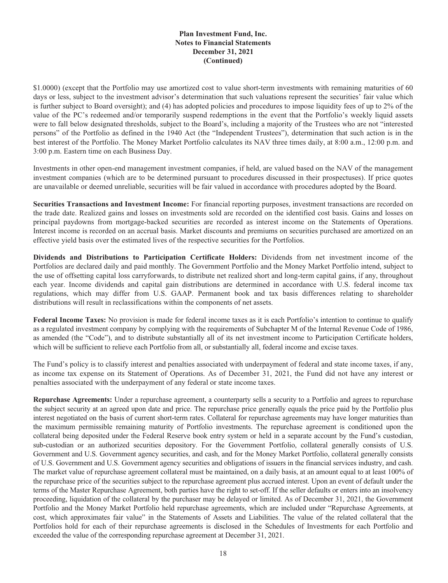\$1.0000) (except that the Portfolio may use amortized cost to value short-term investments with remaining maturities of 60 days or less, subject to the investment advisor's determination that such valuations represent the securities' fair value which is further subject to Board oversight); and (4) has adopted policies and procedures to impose liquidity fees of up to 2% of the value of the PC's redeemed and/or temporarily suspend redemptions in the event that the Portfolio's weekly liquid assets were to fall below designated thresholds, subject to the Board's, including a majority of the Trustees who are not "interested persons" of the Portfolio as defined in the 1940 Act (the "Independent Trustees"), determination that such action is in the best interest of the Portfolio. The Money Market Portfolio calculates its NAV three times daily, at 8:00 a.m., 12:00 p.m. and 3:00 p.m. Eastern time on each Business Day.

Investments in other open-end management investment companies, if held, are valued based on the NAV of the management investment companies (which are to be determined pursuant to procedures discussed in their prospectuses). If price quotes are unavailable or deemed unreliable, securities will be fair valued in accordance with procedures adopted by the Board.

**Securities Transactions and Investment Income:** For financial reporting purposes, investment transactions are recorded on the trade date. Realized gains and losses on investments sold are recorded on the identified cost basis. Gains and losses on principal paydowns from mortgage-backed securities are recorded as interest income on the Statements of Operations. Interest income is recorded on an accrual basis. Market discounts and premiums on securities purchased are amortized on an effective yield basis over the estimated lives of the respective securities for the Portfolios.

**Dividends and Distributions to Participation Certificate Holders:** Dividends from net investment income of the Portfolios are declared daily and paid monthly. The Government Portfolio and the Money Market Portfolio intend, subject to the use of offsetting capital loss carryforwards, to distribute net realized short and long-term capital gains, if any, throughout each year. Income dividends and capital gain distributions are determined in accordance with U.S. federal income tax regulations, which may differ from U.S. GAAP. Permanent book and tax basis differences relating to shareholder distributions will result in reclassifications within the components of net assets.

**Federal Income Taxes:** No provision is made for federal income taxes as it is each Portfolio's intention to continue to qualify as a regulated investment company by complying with the requirements of Subchapter M of the Internal Revenue Code of 1986, as amended (the "Code"), and to distribute substantially all of its net investment income to Participation Certificate holders, which will be sufficient to relieve each Portfolio from all, or substantially all, federal income and excise taxes.

The Fund's policy is to classify interest and penalties associated with underpayment of federal and state income taxes, if any, as income tax expense on its Statement of Operations. As of December 31, 2021, the Fund did not have any interest or penalties associated with the underpayment of any federal or state income taxes.

**Repurchase Agreements:** Under a repurchase agreement, a counterparty sells a security to a Portfolio and agrees to repurchase the subject security at an agreed upon date and price. The repurchase price generally equals the price paid by the Portfolio plus interest negotiated on the basis of current short-term rates. Collateral for repurchase agreements may have longer maturities than the maximum permissible remaining maturity of Portfolio investments. The repurchase agreement is conditioned upon the collateral being deposited under the Federal Reserve book entry system or held in a separate account by the Fund's custodian, sub-custodian or an authorized securities depository. For the Government Portfolio, collateral generally consists of U.S. Government and U.S. Government agency securities, and cash, and for the Money Market Portfolio, collateral generally consists of U.S. Government and U.S. Government agency securities and obligations of issuers in the financial services industry, and cash. The market value of repurchase agreement collateral must be maintained, on a daily basis, at an amount equal to at least 100% of the repurchase price of the securities subject to the repurchase agreement plus accrued interest. Upon an event of default under the terms of the Master Repurchase Agreement, both parties have the right to set-off. If the seller defaults or enters into an insolvency proceeding, liquidation of the collateral by the purchaser may be delayed or limited. As of December 31, 2021, the Government Portfolio and the Money Market Portfolio held repurchase agreements, which are included under "Repurchase Agreements, at cost, which approximates fair value" in the Statements of Assets and Liabilities. The value of the related collateral that the Portfolios hold for each of their repurchase agreements is disclosed in the Schedules of Investments for each Portfolio and exceeded the value of the corresponding repurchase agreement at December 31, 2021.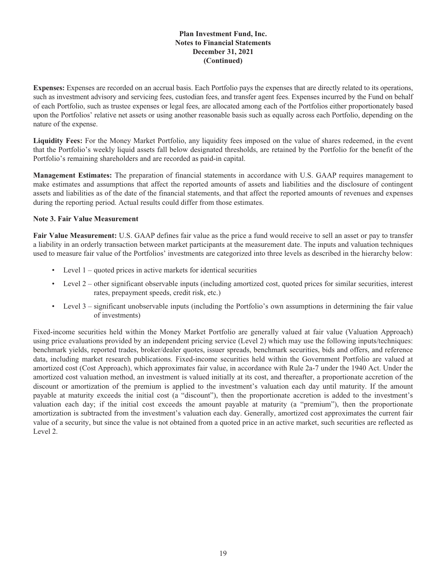**Expenses:** Expenses are recorded on an accrual basis. Each Portfolio pays the expenses that are directly related to its operations, such as investment advisory and servicing fees, custodian fees, and transfer agent fees. Expenses incurred by the Fund on behalf of each Portfolio, such as trustee expenses or legal fees, are allocated among each of the Portfolios either proportionately based upon the Portfolios' relative net assets or using another reasonable basis such as equally across each Portfolio, depending on the nature of the expense.

**Liquidity Fees:** For the Money Market Portfolio, any liquidity fees imposed on the value of shares redeemed, in the event that the Portfolio's weekly liquid assets fall below designated thresholds, are retained by the Portfolio for the benefit of the Portfolio's remaining shareholders and are recorded as paid-in capital.

**Management Estimates:** The preparation of financial statements in accordance with U.S. GAAP requires management to make estimates and assumptions that affect the reported amounts of assets and liabilities and the disclosure of contingent assets and liabilities as of the date of the financial statements, and that affect the reported amounts of revenues and expenses during the reporting period. Actual results could differ from those estimates.

#### **Note 3. Fair Value Measurement**

Fair Value Measurement: U.S. GAAP defines fair value as the price a fund would receive to sell an asset or pay to transfer a liability in an orderly transaction between market participants at the measurement date. The inputs and valuation techniques used to measure fair value of the Portfolios' investments are categorized into three levels as described in the hierarchy below:

- Level 1 quoted prices in active markets for identical securities
- Level 2 other significant observable inputs (including amortized cost, quoted prices for similar securities, interest rates, prepayment speeds, credit risk, etc.)
- Level 3 significant unobservable inputs (including the Portfolio's own assumptions in determining the fair value of investments)

Fixed-income securities held within the Money Market Portfolio are generally valued at fair value (Valuation Approach) using price evaluations provided by an independent pricing service (Level 2) which may use the following inputs/techniques: benchmark yields, reported trades, broker/dealer quotes, issuer spreads, benchmark securities, bids and offers, and reference data, including market research publications. Fixed-income securities held within the Government Portfolio are valued at amortized cost (Cost Approach), which approximates fair value, in accordance with Rule 2a-7 under the 1940 Act. Under the amortized cost valuation method, an investment is valued initially at its cost, and thereafter, a proportionate accretion of the discount or amortization of the premium is applied to the investment's valuation each day until maturity. If the amount payable at maturity exceeds the initial cost (a "discount"), then the proportionate accretion is added to the investment's valuation each day; if the initial cost exceeds the amount payable at maturity (a "premium"), then the proportionate amortization is subtracted from the investment's valuation each day. Generally, amortized cost approximates the current fair value of a security, but since the value is not obtained from a quoted price in an active market, such securities are reflected as Level 2.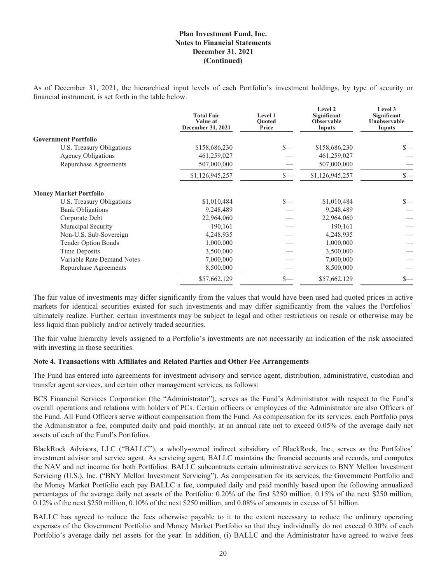As of December 31, 2021, the hierarchical input levels of each Portfolio's investment holdings, by type of security or financial instrument, is set forth in the table below.

|                               | <b>Total Fair</b><br>Value at<br>December 31, 2021 | Level 1<br><b>Ouoted</b><br>Price | Level 2<br>Significant<br>Observable<br>Inputs | Level 3<br>Significant<br>Unobservable<br>Inputs |
|-------------------------------|----------------------------------------------------|-----------------------------------|------------------------------------------------|--------------------------------------------------|
| <b>Government Portfolio</b>   |                                                    |                                   |                                                |                                                  |
| U.S. Treasury Obligations     | \$158,686,230                                      | $S-$                              | \$158,686,230                                  |                                                  |
| <b>Agency Obligations</b>     | 461,259,027                                        |                                   | 461,259,027                                    |                                                  |
| Repurchase Agreements         | 507,000,000                                        |                                   | 507,000,000                                    |                                                  |
|                               | \$1,126,945,257                                    | $S-$                              | \$1,126,945,257                                |                                                  |
| <b>Money Market Portfolio</b> |                                                    |                                   |                                                |                                                  |
| U.S. Treasury Obligations     | \$1,010,484                                        | $S-$                              | \$1,010,484                                    | $S-$                                             |
| <b>Bank Obligations</b>       | 9,248,489                                          |                                   | 9,248,489                                      |                                                  |
| Corporate Debt                | 22,964,060                                         |                                   | 22,964,060                                     |                                                  |
| Municipal Security            | 190,161                                            |                                   | 190,161                                        |                                                  |
| Non-U.S. Sub-Sovereign        | 4,248,935                                          |                                   | 4,248,935                                      |                                                  |
| <b>Tender Option Bonds</b>    | 1,000,000                                          |                                   | 1,000,000                                      |                                                  |
| Time Deposits                 | 3,500,000                                          |                                   | 3,500,000                                      |                                                  |
| Variable Rate Demand Notes    | 7,000,000                                          |                                   | 7,000,000                                      |                                                  |
| Repurchase Agreements         | 8,500,000                                          |                                   | 8,500,000                                      |                                                  |
|                               | \$57,662,129                                       | $S-$                              | \$57,662,129                                   | $S-$                                             |

The fair value of investments may differ significantly from the values that would have been used had quoted prices in active markets for identical securities existed for such investments and may differ significantly from the values the Portfolios' ultimately realize. Further, certain investments may be subject to legal and other restrictions on resale or otherwise may be less liquid than publicly and/or actively traded securities.

The fair value hierarchy levels assigned to a Portfolio's investments are not necessarily an indication of the risk associated with investing in those securities.

#### **Note 4. Transactions with Affiliates and Related Parties and Other Fee Arrangements**

The Fund has entered into agreements for investment advisory and service agent, distribution, administrative, custodian and transfer agent services, and certain other management services, as follows:

BCS Financial Services Corporation (the "Administrator"), serves as the Fund's Administrator with respect to the Fund's overall operations and relations with holders of PCs. Certain officers or employees of the Administrator are also Officers of the Fund. All Fund Officers serve without compensation from the Fund. As compensation for its services, each Portfolio pays the Administrator a fee, computed daily and paid monthly, at an annual rate not to exceed 0.05% of the average daily net assets of each of the Fund's Portfolios.

BlackRock Advisors, LLC ("BALLC"), a wholly-owned indirect subsidiary of BlackRock, Inc., serves as the Portfolios' investment advisor and service agent. As servicing agent, BALLC maintains the financial accounts and records, and computes the NAV and net income for both Portfolios. BALLC subcontracts certain administrative services to BNY Mellon Investment Servicing (U.S.), Inc. ("BNY Mellon Investment Servicing"). As compensation for its services, the Government Portfolio and the Money Market Portfolio each pay BALLC a fee, computed daily and paid monthly based upon the following annualized percentages of the average daily net assets of the Portfolio: 0.20% of the first \$250 million, 0.15% of the next \$250 million, 0.12% of the next \$250 million, 0.10% of the next \$250 million, and 0.08% of amounts in excess of \$1 billion.

BALLC has agreed to reduce the fees otherwise payable to it to the extent necessary to reduce the ordinary operating expenses of the Government Portfolio and Money Market Portfolio so that they individually do not exceed 0.30% of each Portfolio's average daily net assets for the year. In addition, (i) BALLC and the Administrator have agreed to waive fees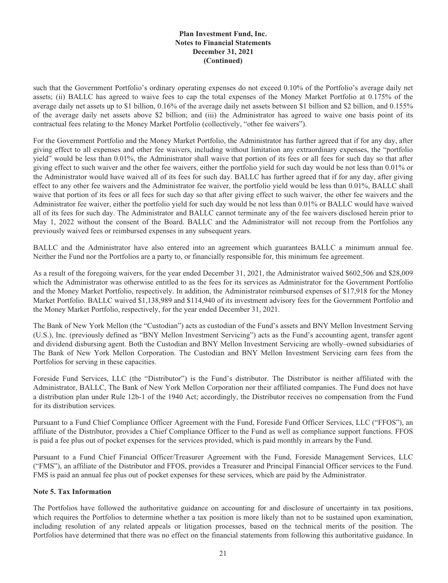such that the Government Portfolio's ordinary operating expenses do not exceed 0.10% of the Portfolio's average daily net assets; (ii) BALLC has agreed to waive fees to cap the total expenses of the Money Market Portfolio at 0.175% of the average daily net assets up to \$1 billion, 0.16% of the average daily net assets between \$1 billion and \$2 billion, and 0.155% of the average daily net assets above \$2 billion; and (iii) the Administrator has agreed to waive one basis point of its contractual fees relating to the Money Market Portfolio (collectively, "other fee waivers").

For the Government Portfolio and the Money Market Portfolio, the Administrator has further agreed that if for any day, after giving effect to all expenses and other fee waivers, including without limitation any extraordinary expenses, the "portfolio yield" would be less than 0.01%, the Administrator shall waive that portion of its fees or all fees for such day so that after giving effect to such waiver and the other fee waivers, either the portfolio yield for such day would be not less than 0.01% or the Administrator would have waived all of its fees for such day. BALLC has further agreed that if for any day, after giving effect to any other fee waivers and the Administrator fee waiver, the portfolio yield would be less than 0.01%, BALLC shall waive that portion of its fees or all fees for such day so that after giving effect to such waiver, the other fee waivers and the Administrator fee waiver, either the portfolio yield for such day would be not less than 0.01% or BALLC would have waived all of its fees for such day. The Administrator and BALLC cannot terminate any of the fee waivers disclosed herein prior to May 1, 2022 without the consent of the Board. BALLC and the Administrator will not recoup from the Portfolios any previously waived fees or reimbursed expenses in any subsequent years.

BALLC and the Administrator have also entered into an agreement which guarantees BALLC a minimum annual fee. Neither the Fund nor the Portfolios are a party to, or financially responsible for, this minimum fee agreement.

As a result of the foregoing waivers, for the year ended December 31, 2021, the Administrator waived \$602,506 and \$28,009 which the Administrator was otherwise entitled to as the fees for its services as Administrator for the Government Portfolio and the Money Market Portfolio, respectively. In addition, the Administrator reimbursed expenses of \$17,918 for the Money Market Portfolio. BALLC waived \$1,138,989 and \$114,940 of its investment advisory fees for the Government Portfolio and the Money Market Portfolio, respectively, for the year ended December 31, 2021.

The Bank of New York Mellon (the "Custodian") acts as custodian of the Fund's assets and BNY Mellon Investment Serving (U.S.), Inc. (previously defined as "BNY Mellon Investment Servicing") acts as the Fund's accounting agent, transfer agent and dividend disbursing agent. Both the Custodian and BNY Mellon Investment Servicing are wholly–owned subsidiaries of The Bank of New York Mellon Corporation. The Custodian and BNY Mellon Investment Servicing earn fees from the Portfolios for serving in these capacities.

Foreside Fund Services, LLC (the "Distributor") is the Fund's distributor. The Distributor is neither affiliated with the Administrator, BALLC, The Bank of New York Mellon Corporation nor their affiliated companies. The Fund does not have a distribution plan under Rule 12b-1 of the 1940 Act; accordingly, the Distributor receives no compensation from the Fund for its distribution services.

Pursuant to a Fund Chief Compliance Officer Agreement with the Fund, Foreside Fund Officer Services, LLC ("FFOS"), an affiliate of the Distributor, provides a Chief Compliance Officer to the Fund as well as compliance support functions. FFOS is paid a fee plus out of pocket expenses for the services provided, which is paid monthly in arrears by the Fund.

Pursuant to a Fund Chief Financial Officer/Treasurer Agreement with the Fund, Foreside Management Services, LLC ("FMS"), an affiliate of the Distributor and FFOS, provides a Treasurer and Principal Financial Officer services to the Fund. FMS is paid an annual fee plus out of pocket expenses for these services, which are paid by the Administrator.

#### **Note 5. Tax Information**

The Portfolios have followed the authoritative guidance on accounting for and disclosure of uncertainty in tax positions, which requires the Portfolios to determine whether a tax position is more likely than not to be sustained upon examination, including resolution of any related appeals or litigation processes, based on the technical merits of the position. The Portfolios have determined that there was no effect on the financial statements from following this authoritative guidance. In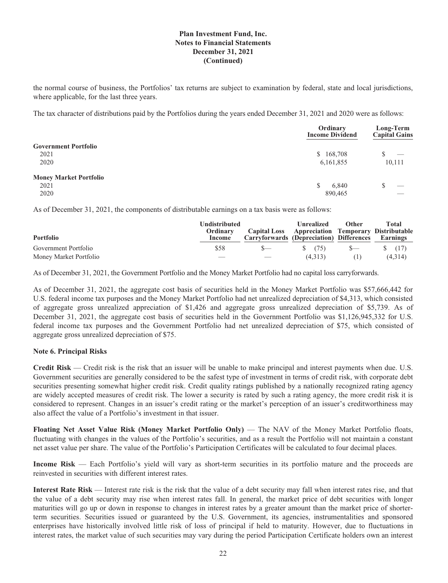the normal course of business, the Portfolios' tax returns are subject to examination by federal, state and local jurisdictions, where applicable, for the last three years.

The tax character of distributions paid by the Portfolios during the years ended December 31, 2021 and 2020 were as follows:

|                               | Ordinary<br><b>Income Dividend</b> | Long-Term<br><b>Capital Gains</b>    |
|-------------------------------|------------------------------------|--------------------------------------|
| <b>Government Portfolio</b>   |                                    |                                      |
| 2021                          | 168,708<br>S.                      |                                      |
| 2020                          | 6,161,855                          | 10,111                               |
| <b>Money Market Portfolio</b> |                                    |                                      |
| 2021                          | 6,840<br>\$                        | $\overbrace{\hspace{25mm}}^{}$<br>.Ъ |
| 2020                          | 890,465                            |                                      |

As of December 31, 2021, the components of distributable earnings on a tax basis were as follows:

| Portfolio              | Undistributed<br>Ordinary<br>Income | Carryforwards (Depreciation) Differences | <b>Unrealized</b><br>Capital Loss Appreciation Temporary Distributable | <b>Other</b> | Total<br>Earnings |
|------------------------|-------------------------------------|------------------------------------------|------------------------------------------------------------------------|--------------|-------------------|
| Government Portfolio   | \$58                                | $S-$                                     | S(75)                                                                  |              | $\sqrt{17}$       |
| Money Market Portfolio |                                     |                                          | (4.313)                                                                |              | (4.314)           |

As of December 31, 2021, the Government Portfolio and the Money Market Portfolio had no capital loss carryforwards.

As of December 31, 2021, the aggregate cost basis of securities held in the Money Market Portfolio was \$57,666,442 for U.S. federal income tax purposes and the Money Market Portfolio had net unrealized depreciation of \$4,313, which consisted of aggregate gross unrealized appreciation of \$1,426 and aggregate gross unrealized depreciation of \$5,739. As of December 31, 2021, the aggregate cost basis of securities held in the Government Portfolio was \$1,126,945,332 for U.S. federal income tax purposes and the Government Portfolio had net unrealized depreciation of \$75, which consisted of aggregate gross unrealized depreciation of \$75.

#### **Note 6. Principal Risks**

**Credit Risk** — Credit risk is the risk that an issuer will be unable to make principal and interest payments when due. U.S. Government securities are generally considered to be the safest type of investment in terms of credit risk, with corporate debt securities presenting somewhat higher credit risk. Credit quality ratings published by a nationally recognized rating agency are widely accepted measures of credit risk. The lower a security is rated by such a rating agency, the more credit risk it is considered to represent. Changes in an issuer's credit rating or the market's perception of an issuer's creditworthiness may also affect the value of a Portfolio's investment in that issuer.

**Floating Net Asset Value Risk (Money Market Portfolio Only)** — The NAV of the Money Market Portfolio floats, fluctuating with changes in the values of the Portfolio's securities, and as a result the Portfolio will not maintain a constant net asset value per share. The value of the Portfolio's Participation Certificates will be calculated to four decimal places.

**Income Risk** — Each Portfolio's yield will vary as short-term securities in its portfolio mature and the proceeds are reinvested in securities with different interest rates.

**Interest Rate Risk** — Interest rate risk is the risk that the value of a debt security may fall when interest rates rise, and that the value of a debt security may rise when interest rates fall. In general, the market price of debt securities with longer maturities will go up or down in response to changes in interest rates by a greater amount than the market price of shorterterm securities. Securities issued or guaranteed by the U.S. Government, its agencies, instrumentalities and sponsored enterprises have historically involved little risk of loss of principal if held to maturity. However, due to fluctuations in interest rates, the market value of such securities may vary during the period Participation Certificate holders own an interest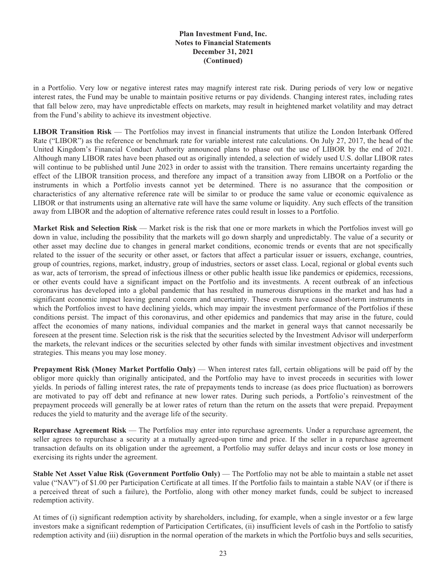in a Portfolio. Very low or negative interest rates may magnify interest rate risk. During periods of very low or negative interest rates, the Fund may be unable to maintain positive returns or pay dividends. Changing interest rates, including rates that fall below zero, may have unpredictable effects on markets, may result in heightened market volatility and may detract from the Fund's ability to achieve its investment objective.

**LIBOR Transition Risk** — The Portfolios may invest in financial instruments that utilize the London Interbank Offered Rate ("LIBOR") as the reference or benchmark rate for variable interest rate calculations. On July 27, 2017, the head of the United Kingdom's Financial Conduct Authority announced plans to phase out the use of LIBOR by the end of 2021. Although many LIBOR rates have been phased out as originally intended, a selection of widely used U.S. dollar LIBOR rates will continue to be published until June 2023 in order to assist with the transition. There remains uncertainty regarding the effect of the LIBOR transition process, and therefore any impact of a transition away from LIBOR on a Portfolio or the instruments in which a Portfolio invests cannot yet be determined. There is no assurance that the composition or characteristics of any alternative reference rate will be similar to or produce the same value or economic equivalence as LIBOR or that instruments using an alternative rate will have the same volume or liquidity. Any such effects of the transition away from LIBOR and the adoption of alternative reference rates could result in losses to a Portfolio.

**Market Risk and Selection Risk** — Market risk is the risk that one or more markets in which the Portfolios invest will go down in value, including the possibility that the markets will go down sharply and unpredictably. The value of a security or other asset may decline due to changes in general market conditions, economic trends or events that are not specifically related to the issuer of the security or other asset, or factors that affect a particular issuer or issuers, exchange, countries, group of countries, regions, market, industry, group of industries, sectors or asset class. Local, regional or global events such as war, acts of terrorism, the spread of infectious illness or other public health issue like pandemics or epidemics, recessions, or other events could have a significant impact on the Portfolio and its investments. A recent outbreak of an infectious coronavirus has developed into a global pandemic that has resulted in numerous disruptions in the market and has had a significant economic impact leaving general concern and uncertainty. These events have caused short-term instruments in which the Portfolios invest to have declining yields, which may impair the investment performance of the Portfolios if these conditions persist. The impact of this coronavirus, and other epidemics and pandemics that may arise in the future, could affect the economies of many nations, individual companies and the market in general ways that cannot necessarily be foreseen at the present time. Selection risk is the risk that the securities selected by the Investment Advisor will underperform the markets, the relevant indices or the securities selected by other funds with similar investment objectives and investment strategies. This means you may lose money.

**Prepayment Risk (Money Market Portfolio Only)** — When interest rates fall, certain obligations will be paid off by the obligor more quickly than originally anticipated, and the Portfolio may have to invest proceeds in securities with lower yields. In periods of falling interest rates, the rate of prepayments tends to increase (as does price fluctuation) as borrowers are motivated to pay off debt and refinance at new lower rates. During such periods, a Portfolio's reinvestment of the prepayment proceeds will generally be at lower rates of return than the return on the assets that were prepaid. Prepayment reduces the yield to maturity and the average life of the security.

**Repurchase Agreement Risk** — The Portfolios may enter into repurchase agreements. Under a repurchase agreement, the seller agrees to repurchase a security at a mutually agreed-upon time and price. If the seller in a repurchase agreement transaction defaults on its obligation under the agreement, a Portfolio may suffer delays and incur costs or lose money in exercising its rights under the agreement.

**Stable Net Asset Value Risk (Government Portfolio Only)** — The Portfolio may not be able to maintain a stable net asset value ("NAV") of \$1.00 per Participation Certificate at all times. If the Portfolio fails to maintain a stable NAV (or if there is a perceived threat of such a failure), the Portfolio, along with other money market funds, could be subject to increased redemption activity.

At times of (i) significant redemption activity by shareholders, including, for example, when a single investor or a few large investors make a significant redemption of Participation Certificates, (ii) insufficient levels of cash in the Portfolio to satisfy redemption activity and (iii) disruption in the normal operation of the markets in which the Portfolio buys and sells securities,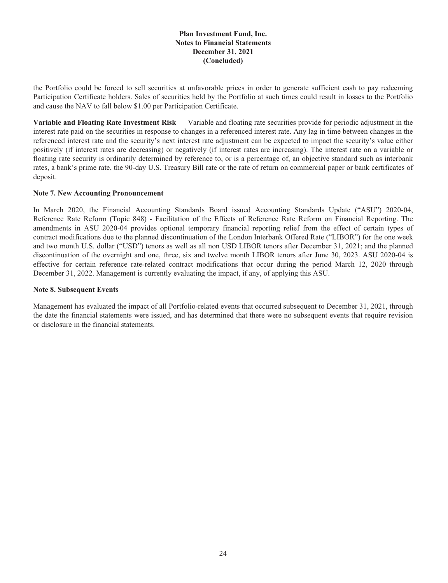the Portfolio could be forced to sell securities at unfavorable prices in order to generate sufficient cash to pay redeeming Participation Certificate holders. Sales of securities held by the Portfolio at such times could result in losses to the Portfolio and cause the NAV to fall below \$1.00 per Participation Certificate.

**Variable and Floating Rate Investment Risk** — Variable and floating rate securities provide for periodic adjustment in the interest rate paid on the securities in response to changes in a referenced interest rate. Any lag in time between changes in the referenced interest rate and the security's next interest rate adjustment can be expected to impact the security's value either positively (if interest rates are decreasing) or negatively (if interest rates are increasing). The interest rate on a variable or floating rate security is ordinarily determined by reference to, or is a percentage of, an objective standard such as interbank rates, a bank's prime rate, the 90-day U.S. Treasury Bill rate or the rate of return on commercial paper or bank certificates of deposit.

#### **Note 7. New Accounting Pronouncement**

In March 2020, the Financial Accounting Standards Board issued Accounting Standards Update ("ASU") 2020-04, Reference Rate Reform (Topic 848) - Facilitation of the Effects of Reference Rate Reform on Financial Reporting. The amendments in ASU 2020-04 provides optional temporary financial reporting relief from the effect of certain types of contract modifications due to the planned discontinuation of the London Interbank Offered Rate ("LIBOR") for the one week and two month U.S. dollar ("USD") tenors as well as all non USD LIBOR tenors after December 31, 2021; and the planned discontinuation of the overnight and one, three, six and twelve month LIBOR tenors after June 30, 2023. ASU 2020-04 is effective for certain reference rate-related contract modifications that occur during the period March 12, 2020 through December 31, 2022. Management is currently evaluating the impact, if any, of applying this ASU.

#### **Note 8. Subsequent Events**

Management has evaluated the impact of all Portfolio-related events that occurred subsequent to December 31, 2021, through the date the financial statements were issued, and has determined that there were no subsequent events that require revision or disclosure in the financial statements.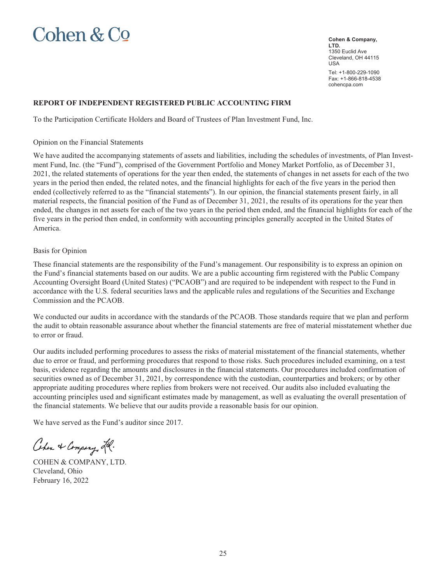# Cohen & Co

**Cohen & Company, LTD.** 1350 Euclid Ave Cleveland, OH 44115 USA Tel: +1-800-229-1090 Fax: +1-866-818-4538 cohencpa.com

#### **REPORT OF INDEPENDENT REGISTERED PUBLIC ACCOUNTING FIRM**

To the Participation Certificate Holders and Board of Trustees of Plan Investment Fund, Inc.

#### Opinion on the Financial Statements

We have audited the accompanying statements of assets and liabilities, including the schedules of investments, of Plan Investment Fund, Inc. (the "Fund"), comprised of the Government Portfolio and Money Market Portfolio, as of December 31, 2021, the related statements of operations for the year then ended, the statements of changes in net assets for each of the two years in the period then ended, the related notes, and the financial highlights for each of the five years in the period then ended (collectively referred to as the "financial statements"). In our opinion, the financial statements present fairly, in all material respects, the financial position of the Fund as of December 31, 2021, the results of its operations for the year then ended, the changes in net assets for each of the two years in the period then ended, and the financial highlights for each of the five years in the period then ended, in conformity with accounting principles generally accepted in the United States of America.

#### Basis for Opinion

These financial statements are the responsibility of the Fund's management. Our responsibility is to express an opinion on the Fund's financial statements based on our audits. We are a public accounting firm registered with the Public Company Accounting Oversight Board (United States) ("PCAOB") and are required to be independent with respect to the Fund in accordance with the U.S. federal securities laws and the applicable rules and regulations of the Securities and Exchange Commission and the PCAOB.

We conducted our audits in accordance with the standards of the PCAOB. Those standards require that we plan and perform the audit to obtain reasonable assurance about whether the financial statements are free of material misstatement whether due to error or fraud.

Our audits included performing procedures to assess the risks of material misstatement of the financial statements, whether due to error or fraud, and performing procedures that respond to those risks. Such procedures included examining, on a test basis, evidence regarding the amounts and disclosures in the financial statements. Our procedures included confirmation of securities owned as of December 31, 2021, by correspondence with the custodian, counterparties and brokers; or by other appropriate auditing procedures where replies from brokers were not received. Our audits also included evaluating the accounting principles used and significant estimates made by management, as well as evaluating the overall presentation of the financial statements. We believe that our audits provide a reasonable basis for our opinion.

We have served as the Fund's auditor since 2017.

Cohen & Company, LA.

COHEN & COMPANY, LTD. Cleveland, Ohio February 16, 2022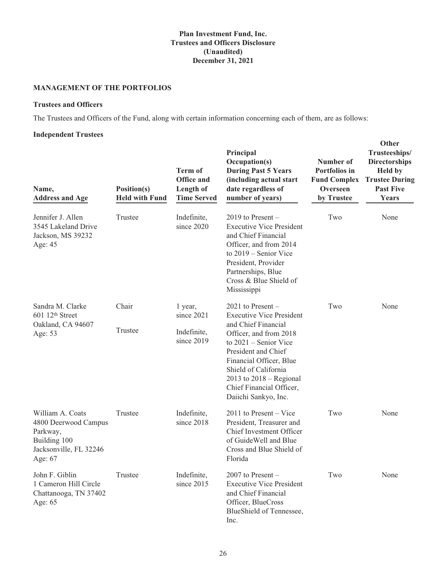#### **Plan Investment Fund, Inc. Trustees and Officers Disclosure (Unaudited) December 31, 2021**

#### **MANAGEMENT OF THE PORTFOLIOS**

#### **Trustees and Officers**

The Trustees and Officers of the Fund, along with certain information concerning each of them, are as follows:

#### **Independent Trustees**

| Name,<br><b>Address and Age</b>                                                                           | Position(s)<br><b>Held with Fund</b> | <b>Term of</b><br>Office and<br>Length of<br><b>Time Served</b> | Principal<br>Occupation(s)<br><b>During Past 5 Years</b><br>(including actual start<br>date regardless of<br>number of years)                                                                                                                                                                 | Number of<br>Portfolios in<br><b>Fund Complex</b><br>Overseen<br>by Trustee | Other<br>Trusteeships/<br><b>Directorships</b><br><b>Held by</b><br><b>Trustee During</b><br><b>Past Five</b><br>Years |
|-----------------------------------------------------------------------------------------------------------|--------------------------------------|-----------------------------------------------------------------|-----------------------------------------------------------------------------------------------------------------------------------------------------------------------------------------------------------------------------------------------------------------------------------------------|-----------------------------------------------------------------------------|------------------------------------------------------------------------------------------------------------------------|
| Jennifer J. Allen<br>3545 Lakeland Drive<br>Jackson, MS 39232<br>Age: 45                                  | Trustee                              | Indefinite,<br>since 2020                                       | $2019$ to Present –<br><b>Executive Vice President</b><br>and Chief Financial<br>Officer, and from 2014<br>to $2019$ – Senior Vice<br>President, Provider<br>Partnerships, Blue<br>Cross & Blue Shield of<br>Mississippi                                                                      | Two                                                                         | None                                                                                                                   |
| Sandra M. Clarke<br>601 12 <sup>th</sup> Street<br>Oakland, CA 94607<br>Age: 53                           | Chair<br>Trustee                     | 1 year,<br>since 2021<br>Indefinite,<br>since $2019$            | $2021$ to Present –<br><b>Executive Vice President</b><br>and Chief Financial<br>Officer, and from 2018<br>to $2021$ – Senior Vice<br>President and Chief<br>Financial Officer, Blue<br>Shield of California<br>2013 to $2018$ – Regional<br>Chief Financial Officer,<br>Daiichi Sankyo, Inc. | Two                                                                         | None                                                                                                                   |
| William A. Coats<br>4800 Deerwood Campus<br>Parkway,<br>Building 100<br>Jacksonville, FL 32246<br>Age: 67 | Trustee                              | Indefinite,<br>since $2018$                                     | $2011$ to Present – Vice<br>President, Treasurer and<br>Chief Investment Officer<br>of GuideWell and Blue<br>Cross and Blue Shield of<br>Florida                                                                                                                                              | Two                                                                         | None                                                                                                                   |
| John F. Giblin<br>1 Cameron Hill Circle<br>Chattanooga, TN 37402<br>Age: 65                               | Trustee                              | Indefinite,<br>since $2015$                                     | $2007$ to Present $-$<br><b>Executive Vice President</b><br>and Chief Financial<br>Officer, BlueCross<br>BlueShield of Tennessee,<br>Inc.                                                                                                                                                     | Two                                                                         | None                                                                                                                   |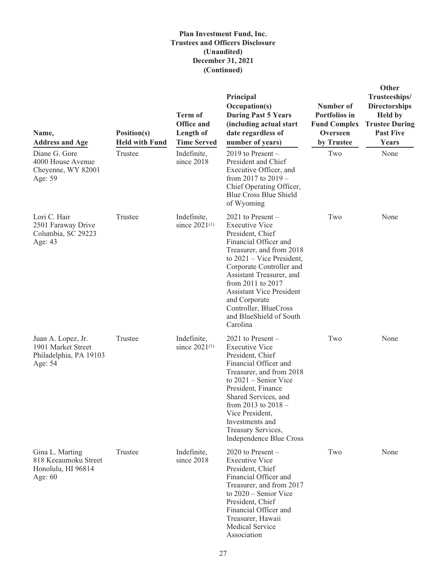#### **Plan Investment Fund, Inc. Trustees and Officers Disclosure (Unaudited) December 31, 2021 (Continued)**

| Name,<br><b>Address and Age</b>                                               | Position(s)<br><b>Held with Fund</b> | <b>Term of</b><br>Office and<br>Length of<br><b>Time Served</b> | Principal<br>Occupation(s)<br><b>During Past 5 Years</b><br>(including actual start<br>date regardless of<br>number of years)                                                                                                                                                                                                                             | Number of<br>Portfolios in<br><b>Fund Complex</b><br>Overseen<br>by Trustee | Other<br>Trusteeships/<br><b>Directorships</b><br><b>Held by</b><br><b>Trustee During</b><br><b>Past Five</b><br>Years |
|-------------------------------------------------------------------------------|--------------------------------------|-----------------------------------------------------------------|-----------------------------------------------------------------------------------------------------------------------------------------------------------------------------------------------------------------------------------------------------------------------------------------------------------------------------------------------------------|-----------------------------------------------------------------------------|------------------------------------------------------------------------------------------------------------------------|
| Diane G. Gore<br>4000 House Avenue<br>Cheyenne, WY 82001<br>Age: 59           | Trustee                              | Indefinite,<br>since 2018                                       | $2019$ to Present –<br>President and Chief<br>Executive Officer, and<br>from 2017 to $2019 -$<br>Chief Operating Officer,<br><b>Blue Cross Blue Shield</b><br>of Wyoming                                                                                                                                                                                  | Two                                                                         | None                                                                                                                   |
| Lori C. Hair<br>2501 Faraway Drive<br>Columbia, SC 29223<br>Age: 43           | Trustee                              | Indefinite,<br>since 2021(1)                                    | $2021$ to Present –<br><b>Executive Vice</b><br>President, Chief<br>Financial Officer and<br>Treasurer, and from 2018<br>to $2021$ – Vice President,<br>Corporate Controller and<br>Assistant Treasurer, and<br>from $2011$ to $2017$<br><b>Assistant Vice President</b><br>and Corporate<br>Controller, BlueCross<br>and BlueShield of South<br>Carolina | Two                                                                         | None                                                                                                                   |
| Juan A. Lopez, Jr.<br>1901 Market Street<br>Philadelphia, PA 19103<br>Age: 54 | Trustee                              | Indefinite,<br>since $2021^{(1)}$                               | $2021$ to Present -<br><b>Executive Vice</b><br>President, Chief<br>Financial Officer and<br>Treasurer, and from 2018<br>to $2021$ – Senior Vice<br>President, Finance<br>Shared Services, and<br>from 2013 to $2018 -$<br>Vice President,<br>Investments and<br>Treasury Services,<br>Independence Blue Cross                                            | Two                                                                         | None                                                                                                                   |
| Gina L. Marting<br>818 Keeaumoku Street<br>Honolulu, HI 96814<br>Age: 60      | Trustee                              | Indefinite,<br>since 2018                                       | $2020$ to Present $-$<br><b>Executive Vice</b><br>President, Chief<br>Financial Officer and<br>Treasurer, and from 2017<br>to $2020$ – Senior Vice<br>President, Chief<br>Financial Officer and<br>Treasurer, Hawaii<br>Medical Service<br>Association                                                                                                    | Two                                                                         | None                                                                                                                   |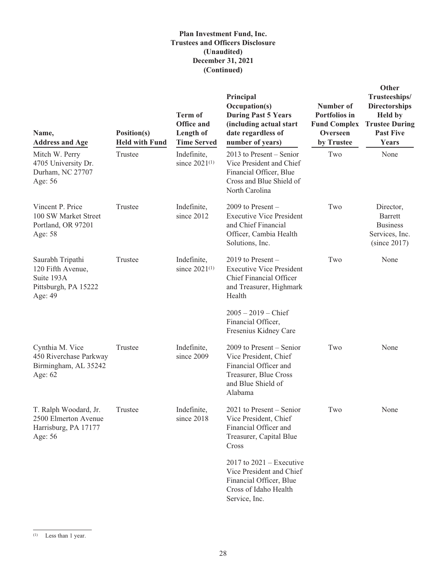#### **Plan Investment Fund, Inc. Trustees and Officers Disclosure (Unaudited) December 31, 2021 (Continued)**

| Name,<br><b>Address and Age</b>                                                        | Position(s)<br><b>Held with Fund</b> | <b>Term of</b><br>Office and<br>Length of<br><b>Time Served</b> | Principal<br>Occupation(s)<br><b>During Past 5 Years</b><br>(including actual start<br>date regardless of<br>number of years)          | Number of<br>Portfolios in<br><b>Fund Complex</b><br>Overseen<br>by Trustee | Other<br>Trusteeships/<br><b>Directorships</b><br><b>Held by</b><br><b>Trustee During</b><br><b>Past Five</b><br>Years |
|----------------------------------------------------------------------------------------|--------------------------------------|-----------------------------------------------------------------|----------------------------------------------------------------------------------------------------------------------------------------|-----------------------------------------------------------------------------|------------------------------------------------------------------------------------------------------------------------|
| Mitch W. Perry<br>4705 University Dr.<br>Durham, NC 27707<br>Age: 56                   | Trustee                              | Indefinite,<br>since 2021 <sup>(1)</sup>                        | 2013 to Present – Senior<br>Vice President and Chief<br>Financial Officer, Blue<br>Cross and Blue Shield of<br>North Carolina          | Two                                                                         | None                                                                                                                   |
| Vincent P. Price<br>100 SW Market Street<br>Portland, OR 97201<br>Age: 58              | Trustee                              | Indefinite,<br>since 2012                                       | $2009$ to Present -<br><b>Executive Vice President</b><br>and Chief Financial<br>Officer, Cambia Health<br>Solutions, Inc.             | Two                                                                         | Director,<br><b>Barrett</b><br><b>Business</b><br>Services, Inc.<br>(since 2017)                                       |
| Saurabh Tripathi<br>120 Fifth Avenue,<br>Suite 193A<br>Pittsburgh, PA 15222<br>Age: 49 | Trustee                              | Indefinite,<br>since $2021^{(1)}$                               | $2019$ to Present -<br><b>Executive Vice President</b><br>Chief Financial Officer<br>and Treasurer, Highmark<br>Health                 | Two                                                                         | None                                                                                                                   |
|                                                                                        |                                      |                                                                 | $2005 - 2019$ - Chief<br>Financial Officer,<br>Fresenius Kidney Care                                                                   |                                                                             |                                                                                                                        |
| Cynthia M. Vice<br>450 Riverchase Parkway<br>Birmingham, AL 35242<br>Age: 62           | Trustee                              | Indefinite,<br>since 2009                                       | $2009$ to Present – Senior<br>Vice President, Chief<br>Financial Officer and<br>Treasurer, Blue Cross<br>and Blue Shield of<br>Alabama | Two                                                                         | None                                                                                                                   |
| T. Ralph Woodard, Jr.<br>2500 Elmerton Avenue<br>Harrisburg, PA 17177<br>Age: 56       | Trustee                              | Indefinite.<br>since $2018$                                     | $2021$ to Present – Senior<br>Vice President, Chief<br>Financial Officer and<br>Treasurer, Capital Blue<br>Cross                       | Two                                                                         | None                                                                                                                   |
|                                                                                        |                                      |                                                                 | $2017$ to $2021$ – Executive<br>Vice President and Chief<br>Financial Officer, Blue<br>Cross of Idaho Health<br>Service, Inc.          |                                                                             |                                                                                                                        |

<sup>(1)</sup> Less than 1 year.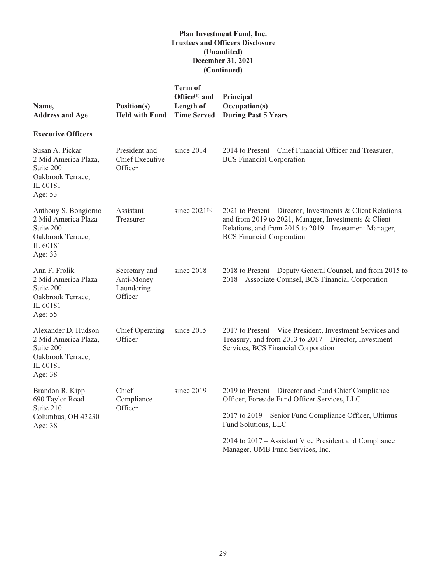#### **Plan Investment Fund, Inc. Trustees and Officers Disclosure (Unaudited) December 31, 2021 (Continued)**

| Name,<br><b>Address and Age</b>                                                                      | Position(s)<br><b>Held with Fund</b>                 | <b>Term of</b><br>Office <sup>(1)</sup> and<br>Length of<br><b>Time Served</b> | Principal<br>Occupation(s)<br><b>During Past 5 Years</b>                                                                                                                                                          |
|------------------------------------------------------------------------------------------------------|------------------------------------------------------|--------------------------------------------------------------------------------|-------------------------------------------------------------------------------------------------------------------------------------------------------------------------------------------------------------------|
| <b>Executive Officers</b>                                                                            |                                                      |                                                                                |                                                                                                                                                                                                                   |
| Susan A. Pickar<br>2 Mid America Plaza,<br>Suite 200<br>Oakbrook Terrace,<br>IL 60181<br>Age: 53     | President and<br><b>Chief Executive</b><br>Officer   | since $2014$                                                                   | 2014 to Present – Chief Financial Officer and Treasurer,<br><b>BCS</b> Financial Corporation                                                                                                                      |
| Anthony S. Bongiorno<br>2 Mid America Plaza<br>Suite 200<br>Oakbrook Terrace,<br>IL 60181<br>Age: 33 | Assistant<br>Treasurer                               | since $2021^{(2)}$                                                             | 2021 to Present – Director, Investments & Client Relations,<br>and from 2019 to 2021, Manager, Investments & Client<br>Relations, and from 2015 to 2019 – Investment Manager,<br><b>BCS</b> Financial Corporation |
| Ann F. Frolik<br>2 Mid America Plaza<br>Suite 200<br>Oakbrook Terrace,<br>IL 60181<br>Age: 55        | Secretary and<br>Anti-Money<br>Laundering<br>Officer | since $2018$                                                                   | 2018 to Present - Deputy General Counsel, and from 2015 to<br>2018 - Associate Counsel, BCS Financial Corporation                                                                                                 |
| Alexander D. Hudson<br>2 Mid America Plaza,<br>Suite 200<br>Oakbrook Terrace,<br>IL 60181<br>Age: 38 | Chief Operating<br>Officer                           | since 2015                                                                     | 2017 to Present – Vice President, Investment Services and<br>Treasury, and from 2013 to 2017 – Director, Investment<br>Services, BCS Financial Corporation                                                        |
| Brandon R. Kipp<br>690 Taylor Road                                                                   | Chief<br>Compliance                                  | since 2019                                                                     | 2019 to Present – Director and Fund Chief Compliance<br>Officer, Foreside Fund Officer Services, LLC                                                                                                              |
| Suite 210<br>Columbus, OH 43230<br>Age: 38                                                           | Officer                                              |                                                                                | 2017 to 2019 – Senior Fund Compliance Officer, Ultimus<br>Fund Solutions, LLC                                                                                                                                     |
|                                                                                                      |                                                      |                                                                                | 2014 to 2017 – Assistant Vice President and Compliance<br>Manager, UMB Fund Services, Inc.                                                                                                                        |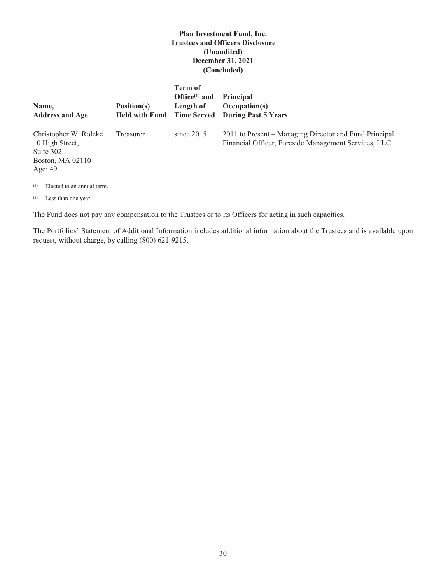#### **Plan Investment Fund, Inc. Trustees and Officers Disclosure (Unaudited) December 31, 2021 (Concluded)**

| Name,<br><b>Address and Age</b>                                                        | Position(s)<br><b>Held with Fund</b> | <b>Term of</b><br>Office $(1)$ and<br>Length of<br><b>Time Served</b> | <b>Principal</b><br>Occupation(s)<br><b>During Past 5 Years</b>                                                |
|----------------------------------------------------------------------------------------|--------------------------------------|-----------------------------------------------------------------------|----------------------------------------------------------------------------------------------------------------|
| Christopher W. Roleke<br>10 High Street,<br>Suite 302<br>Boston, MA 02110<br>Age: $49$ | Treasurer                            | since $2015$                                                          | 2011 to Present – Managing Director and Fund Principal<br>Financial Officer, Foreside Management Services, LLC |
| (1)<br>Elected to an annual term.                                                      |                                      |                                                                       |                                                                                                                |

(2) Less than one year.

The Fund does not pay any compensation to the Trustees or to its Officers for acting in such capacities.

The Portfolios' Statement of Additional Information includes additional information about the Trustees and is available upon request, without charge, by calling (800) 621-9215.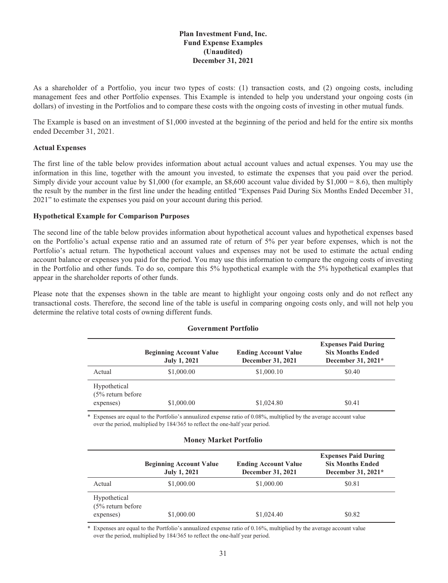#### **Plan Investment Fund, Inc. Fund Expense Examples (Unaudited) December 31, 2021**

As a shareholder of a Portfolio, you incur two types of costs: (1) transaction costs, and (2) ongoing costs, including management fees and other Portfolio expenses. This Example is intended to help you understand your ongoing costs (in dollars) of investing in the Portfolios and to compare these costs with the ongoing costs of investing in other mutual funds.

The Example is based on an investment of \$1,000 invested at the beginning of the period and held for the entire six months ended December 31, 2021.

#### **Actual Expenses**

The first line of the table below provides information about actual account values and actual expenses. You may use the information in this line, together with the amount you invested, to estimate the expenses that you paid over the period. Simply divide your account value by \$1,000 (for example, an \$8,600 account value divided by  $$1,000 = 8.6$ ), then multiply the result by the number in the first line under the heading entitled "Expenses Paid During Six Months Ended December 31, 2021" to estimate the expenses you paid on your account during this period.

#### **Hypothetical Example for Comparison Purposes**

The second line of the table below provides information about hypothetical account values and hypothetical expenses based on the Portfolio's actual expense ratio and an assumed rate of return of 5% per year before expenses, which is not the Portfolio's actual return. The hypothetical account values and expenses may not be used to estimate the actual ending account balance or expenses you paid for the period. You may use this information to compare the ongoing costs of investing in the Portfolio and other funds. To do so, compare this 5% hypothetical example with the 5% hypothetical examples that appear in the shareholder reports of other funds.

Please note that the expenses shown in the table are meant to highlight your ongoing costs only and do not reflect any transactional costs. Therefore, the second line of the table is useful in comparing ongoing costs only, and will not help you determine the relative total costs of owning different funds.

|                                                   | <b>Beginning Account Value</b><br><b>July 1, 2021</b> | <b>Ending Account Value</b><br>December 31, 2021 | <b>Expenses Paid During</b><br><b>Six Months Ended</b><br>December 31, 2021* |
|---------------------------------------------------|-------------------------------------------------------|--------------------------------------------------|------------------------------------------------------------------------------|
| Actual                                            | \$1,000.00                                            | \$1,000.10                                       | \$0.40                                                                       |
| Hypothetical<br>$(5\%$ return before<br>expenses) | \$1,000.00                                            | \$1,024.80                                       | \$0.41                                                                       |

#### **Government Portfolio**

\* Expenses are equal to the Portfolio's annualized expense ratio of 0.08%, multiplied by the average account value over the period, multiplied by 184/365 to reflect the one-half year period.

#### **Money Market Portfolio**

|                                                   | <b>Beginning Account Value</b><br><b>July 1, 2021</b> | <b>Ending Account Value</b><br>December 31, 2021 | <b>Expenses Paid During</b><br><b>Six Months Ended</b><br>December 31, 2021* |
|---------------------------------------------------|-------------------------------------------------------|--------------------------------------------------|------------------------------------------------------------------------------|
| Actual                                            | \$1,000.00                                            | \$1,000.00                                       | \$0.81                                                                       |
| Hypothetical<br>$(5\%$ return before<br>expenses) | \$1,000.00                                            | \$1,024.40                                       | \$0.82                                                                       |

\* Expenses are equal to the Portfolio's annualized expense ratio of 0.16%, multiplied by the average account value over the period, multiplied by 184/365 to reflect the one-half year period.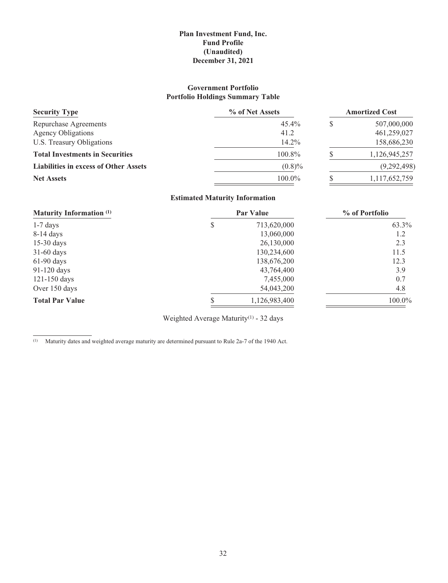#### **Plan Investment Fund, Inc. Fund Profile (Unaudited) December 31, 2021**

#### **Government Portfolio Portfolio Holdings Summary Table**

| <b>Security Type</b>                         | % of Net Assets | <b>Amortized Cost</b> |               |
|----------------------------------------------|-----------------|-----------------------|---------------|
| Repurchase Agreements                        | 45.4%           | S                     | 507,000,000   |
| <b>Agency Obligations</b>                    | 41.2            |                       | 461,259,027   |
| U.S. Treasury Obligations                    | 14.2%           |                       | 158,686,230   |
| <b>Total Investments in Securities</b>       | 100.8%          |                       | 1,126,945,257 |
| <b>Liabilities in excess of Other Assets</b> | $(0.8)\%$       |                       | (9, 292, 498) |
| <b>Net Assets</b>                            | 100.0%          |                       | 1,117,652,759 |

#### **Estimated Maturity Information**

| <b>Maturity Information</b> <sup>(1)</sup> | Par Value |               | % of Portfolio |  |
|--------------------------------------------|-----------|---------------|----------------|--|
| $1-7$ days                                 | \$        | 713,620,000   | 63.3%          |  |
| $8-14$ days                                |           | 13,060,000    | 1.2            |  |
| $15-30$ days                               |           | 26,130,000    | 2.3            |  |
| $31-60$ days                               |           | 130,234,600   | 11.5           |  |
| $61-90$ days                               |           | 138,676,200   | 12.3           |  |
| 91-120 days                                |           | 43,764,400    | 3.9            |  |
| $121 - 150$ days                           |           | 7,455,000     | 0.7            |  |
| Over 150 days                              |           | 54,043,200    | 4.8            |  |
| <b>Total Par Value</b>                     |           | 1,126,983,400 | $100.0\%$      |  |

Weighted Average Maturity<sup>(1)</sup> - 32 days

(1) Maturity dates and weighted average maturity are determined pursuant to Rule 2a-7 of the 1940 Act.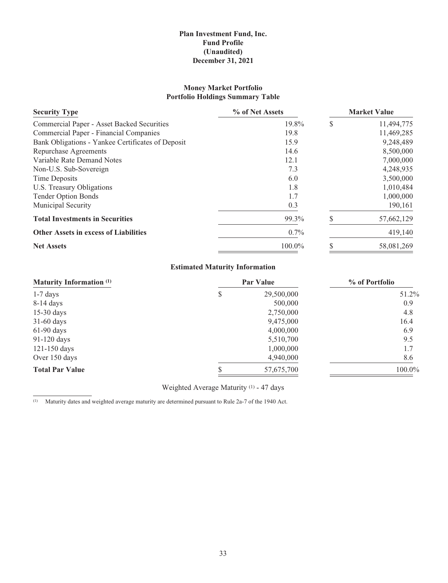#### **Plan Investment Fund, Inc. Fund Profile (Unaudited) December 31, 2021**

#### **Money Market Portfolio Portfolio Holdings Summary Table**

| <b>Security Type</b>                              | % of Net Assets | <b>Market Value</b> |            |
|---------------------------------------------------|-----------------|---------------------|------------|
| Commercial Paper - Asset Backed Securities        | 19.8%           | S                   | 11,494,775 |
| Commercial Paper - Financial Companies            | 19.8            |                     | 11,469,285 |
| Bank Obligations - Yankee Certificates of Deposit | 15.9            |                     | 9,248,489  |
| Repurchase Agreements                             | 14.6            |                     | 8,500,000  |
| Variable Rate Demand Notes                        | 12.1            |                     | 7,000,000  |
| Non-U.S. Sub-Sovereign                            | 7.3             |                     | 4,248,935  |
| Time Deposits                                     | 6.0             |                     | 3,500,000  |
| U.S. Treasury Obligations                         | 1.8             |                     | 1,010,484  |
| <b>Tender Option Bonds</b>                        | 1.7             |                     | 1,000,000  |
| Municipal Security                                | 0.3             |                     | 190,161    |
| <b>Total Investments in Securities</b>            | 99.3%           |                     | 57,662,129 |
| <b>Other Assets in excess of Liabilities</b>      | $0.7\%$         |                     | 419,140    |
| <b>Net Assets</b>                                 | 100.0%          | \$                  | 58,081,269 |

#### **Estimated Maturity Information**

| <b>Maturity Information</b> (1) | Par Value |            | % of Portfolio |  |
|---------------------------------|-----------|------------|----------------|--|
| $1-7$ days                      | \$        | 29,500,000 | 51.2%          |  |
| $8-14$ days                     |           | 500,000    | 0.9            |  |
| $15-30$ days                    |           | 2,750,000  | 4.8            |  |
| $31-60$ days                    |           | 9,475,000  | 16.4           |  |
| $61-90$ days                    |           | 4,000,000  | 6.9            |  |
| $91-120$ days                   |           | 5,510,700  | 9.5            |  |
| $121-150$ days                  |           | 1,000,000  | 1.7            |  |
| Over 150 days                   |           | 4,940,000  | 8.6            |  |
| <b>Total Par Value</b>          |           | 57,675,700 | 100.0%         |  |

Weighted Average Maturity (1) - 47 days

<sup>(1)</sup> Maturity dates and weighted average maturity are determined pursuant to Rule 2a-7 of the 1940 Act.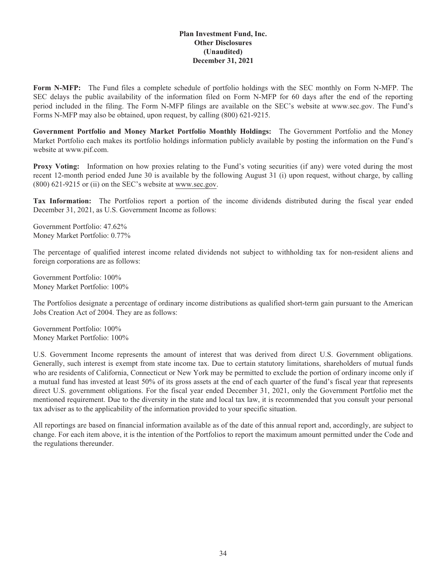#### **Plan Investment Fund, Inc. Other Disclosures (Unaudited) December 31, 2021**

**Form N-MFP:** The Fund files a complete schedule of portfolio holdings with the SEC monthly on Form N-MFP. The SEC delays the public availability of the information filed on Form N-MFP for 60 days after the end of the reporting period included in the filing. The Form N-MFP filings are available on the SEC's website at www.sec.gov. The Fund's Forms N-MFP may also be obtained, upon request, by calling (800) 621-9215.

**Government Portfolio and Money Market Portfolio Monthly Holdings:** The Government Portfolio and the Money Market Portfolio each makes its portfolio holdings information publicly available by posting the information on the Fund's website at www.pif.com.

**Proxy Voting:** Information on how proxies relating to the Fund's voting securities (if any) were voted during the most recent 12-month period ended June 30 is available by the following August 31 (i) upon request, without charge, by calling (800) 621-9215 or (ii) on the SEC's website at www.sec.gov.

**Tax Information:** The Portfolios report a portion of the income dividends distributed during the fiscal year ended December 31, 2021, as U.S. Government Income as follows:

Government Portfolio: 47.62% Money Market Portfolio: 0.77%

The percentage of qualified interest income related dividends not subject to withholding tax for non-resident aliens and foreign corporations are as follows:

Government Portfolio: 100% Money Market Portfolio: 100%

The Portfolios designate a percentage of ordinary income distributions as qualified short-term gain pursuant to the American Jobs Creation Act of 2004. They are as follows:

Government Portfolio: 100% Money Market Portfolio: 100%

U.S. Government Income represents the amount of interest that was derived from direct U.S. Government obligations. Generally, such interest is exempt from state income tax. Due to certain statutory limitations, shareholders of mutual funds who are residents of California, Connecticut or New York may be permitted to exclude the portion of ordinary income only if a mutual fund has invested at least 50% of its gross assets at the end of each quarter of the fund's fiscal year that represents direct U.S. government obligations. For the fiscal year ended December 31, 2021, only the Government Portfolio met the mentioned requirement. Due to the diversity in the state and local tax law, it is recommended that you consult your personal tax adviser as to the applicability of the information provided to your specific situation.

All reportings are based on financial information available as of the date of this annual report and, accordingly, are subject to change. For each item above, it is the intention of the Portfolios to report the maximum amount permitted under the Code and the regulations thereunder.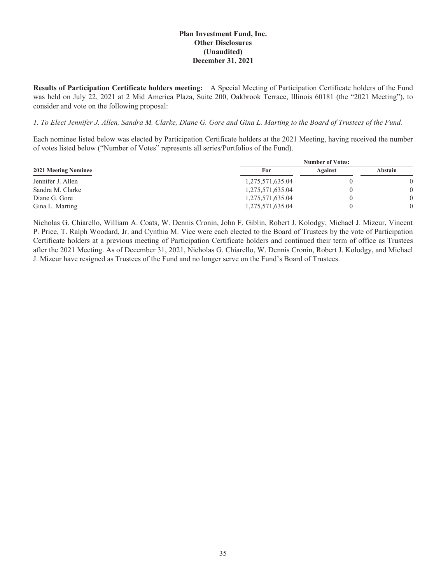#### **Plan Investment Fund, Inc. Other Disclosures (Unaudited) December 31, 2021**

**Results of Participation Certificate holders meeting:** A Special Meeting of Participation Certificate holders of the Fund was held on July 22, 2021 at 2 Mid America Plaza, Suite 200, Oakbrook Terrace, Illinois 60181 (the "2021 Meeting"), to consider and vote on the following proposal:

*1. To Elect Jennifer J. Allen, Sandra M. Clarke, Diane G. Gore and Gina L. Marting to the Board of Trustees of the Fund.*

Each nominee listed below was elected by Participation Certificate holders at the 2021 Meeting, having received the number of votes listed below ("Number of Votes" represents all series/Portfolios of the Fund).

| <b>2021 Meeting Nominee</b> | <b>Number of Votes:</b> |         |          |  |
|-----------------------------|-------------------------|---------|----------|--|
|                             | For                     | Against | Abstain  |  |
| Jennifer J. Allen           | 1,275,571,635.04        |         | $\theta$ |  |
| Sandra M. Clarke            | 1,275,571,635.04        |         | $\theta$ |  |
| Diane G. Gore               | 1,275,571,635.04        |         | $\theta$ |  |
| Gina L. Marting             | 1,275,571,635.04        |         | $\theta$ |  |

Nicholas G. Chiarello, William A. Coats, W. Dennis Cronin, John F. Giblin, Robert J. Kolodgy, Michael J. Mizeur, Vincent P. Price, T. Ralph Woodard, Jr. and Cynthia M. Vice were each elected to the Board of Trustees by the vote of Participation Certificate holders at a previous meeting of Participation Certificate holders and continued their term of office as Trustees after the 2021 Meeting. As of December 31, 2021, Nicholas G. Chiarello, W. Dennis Cronin, Robert J. Kolodgy, and Michael J. Mizeur have resigned as Trustees of the Fund and no longer serve on the Fund's Board of Trustees.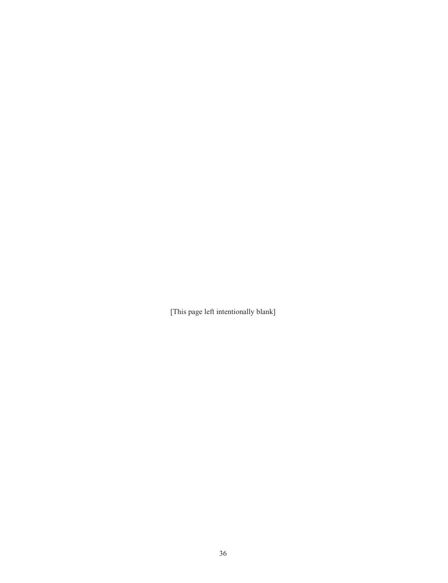[This page left intentionally blank]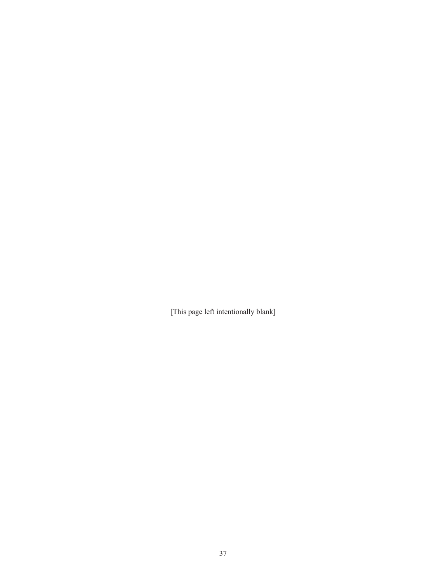[This page left intentionally blank]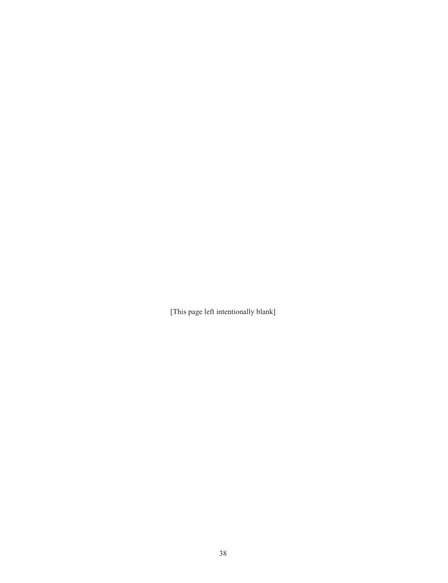[This page left intentionally blank]